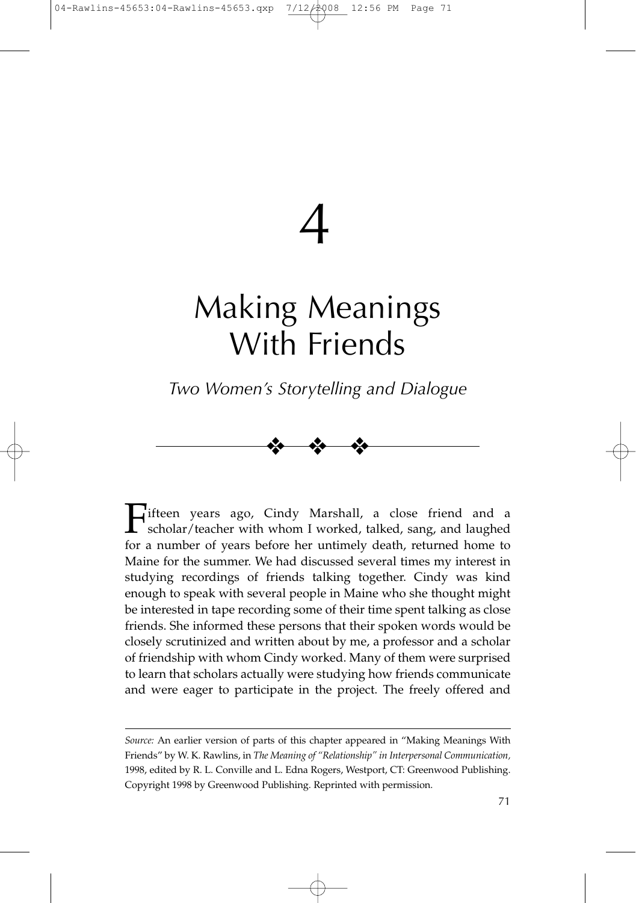# 4

# Making Meanings With Friends

*Two Women's Storytelling and Dialogue*



Fifteen years ago, Cindy Marshall, <sup>a</sup> close friend and <sup>a</sup> scholar/teacher with whom I worked, talked, sang, and laughed for a number of years before her untimely death, returned home to Maine for the summer. We had discussed several times my interest in studying recordings of friends talking together. Cindy was kind enough to speak with several people in Maine who she thought might be interested in tape recording some of their time spent talking as close friends. She informed these persons that their spoken words would be closely scrutinized and written about by me, a professor and a scholar of friendship with whom Cindy worked. Many of them were surprised to learn that scholars actually were studying how friends communicate and were eager to participate in the project. The freely offered and

*Source:* An earlier version of parts of this chapter appeared in "Making Meanings With Friends" by W. K. Rawlins, in *The Meaning of "Relationship" in Interpersonal Communication,* 1998, edited by R. L. Conville and L. Edna Rogers, Westport, CT: Greenwood Publishing. Copyright 1998 by Greenwood Publishing. Reprinted with permission.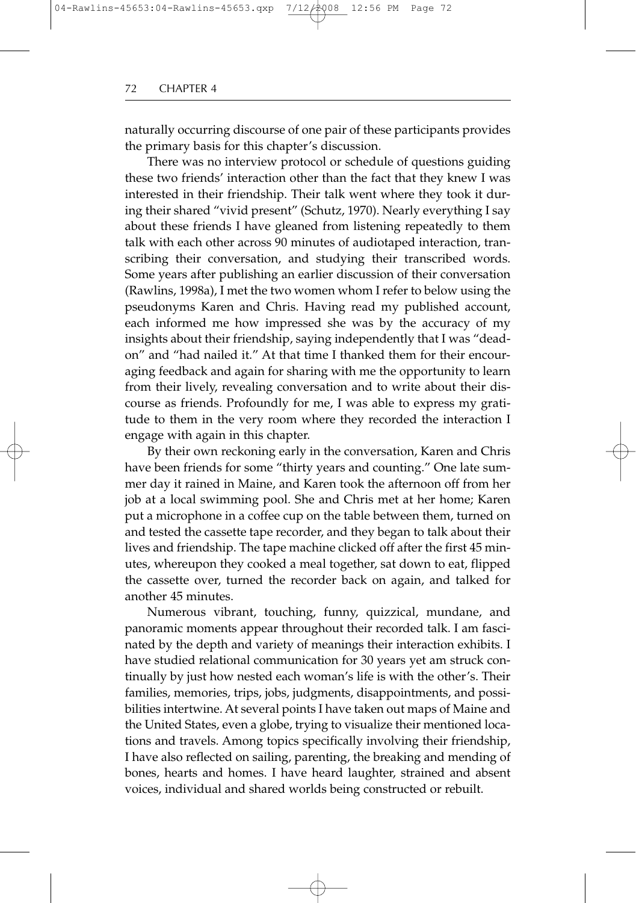naturally occurring discourse of one pair of these participants provides the primary basis for this chapter's discussion.

There was no interview protocol or schedule of questions guiding these two friends' interaction other than the fact that they knew I was interested in their friendship. Their talk went where they took it during their shared "vivid present" (Schutz, 1970). Nearly everything I say about these friends I have gleaned from listening repeatedly to them talk with each other across 90 minutes of audiotaped interaction, transcribing their conversation, and studying their transcribed words. Some years after publishing an earlier discussion of their conversation (Rawlins, 1998a), I met the two women whom I refer to below using the pseudonyms Karen and Chris. Having read my published account, each informed me how impressed she was by the accuracy of my insights about their friendship, saying independently that I was "deadon" and "had nailed it." At that time I thanked them for their encouraging feedback and again for sharing with me the opportunity to learn from their lively, revealing conversation and to write about their discourse as friends. Profoundly for me, I was able to express my gratitude to them in the very room where they recorded the interaction I engage with again in this chapter.

By their own reckoning early in the conversation, Karen and Chris have been friends for some "thirty years and counting." One late summer day it rained in Maine, and Karen took the afternoon off from her job at a local swimming pool. She and Chris met at her home; Karen put a microphone in a coffee cup on the table between them, turned on and tested the cassette tape recorder, and they began to talk about their lives and friendship. The tape machine clicked off after the first 45 minutes, whereupon they cooked a meal together, sat down to eat, flipped the cassette over, turned the recorder back on again, and talked for another 45 minutes.

Numerous vibrant, touching, funny, quizzical, mundane, and panoramic moments appear throughout their recorded talk. I am fascinated by the depth and variety of meanings their interaction exhibits. I have studied relational communication for 30 years yet am struck continually by just how nested each woman's life is with the other's. Their families, memories, trips, jobs, judgments, disappointments, and possibilities intertwine. At several points I have taken out maps of Maine and the United States, even a globe, trying to visualize their mentioned locations and travels. Among topics specifically involving their friendship, I have also reflected on sailing, parenting, the breaking and mending of bones, hearts and homes. I have heard laughter, strained and absent voices, individual and shared worlds being constructed or rebuilt.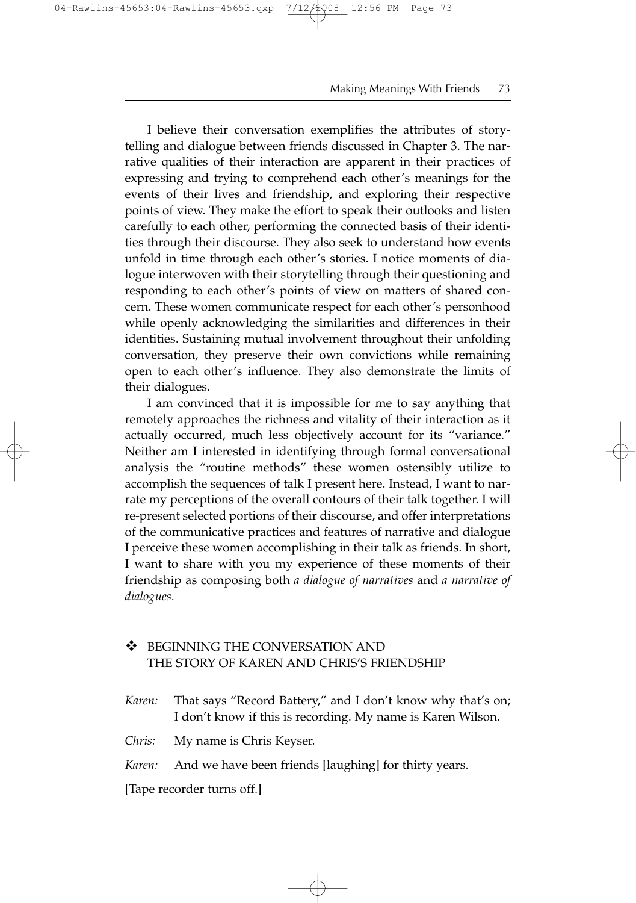I believe their conversation exemplifies the attributes of storytelling and dialogue between friends discussed in Chapter 3. The narrative qualities of their interaction are apparent in their practices of expressing and trying to comprehend each other's meanings for the events of their lives and friendship, and exploring their respective points of view. They make the effort to speak their outlooks and listen carefully to each other, performing the connected basis of their identities through their discourse. They also seek to understand how events unfold in time through each other's stories. I notice moments of dialogue interwoven with their storytelling through their questioning and responding to each other's points of view on matters of shared concern. These women communicate respect for each other's personhood while openly acknowledging the similarities and differences in their identities. Sustaining mutual involvement throughout their unfolding conversation, they preserve their own convictions while remaining open to each other's influence. They also demonstrate the limits of their dialogues.

I am convinced that it is impossible for me to say anything that remotely approaches the richness and vitality of their interaction as it actually occurred, much less objectively account for its "variance." Neither am I interested in identifying through formal conversational analysis the "routine methods" these women ostensibly utilize to accomplish the sequences of talk I present here. Instead, I want to narrate my perceptions of the overall contours of their talk together. I will re-present selected portions of their discourse, and offer interpretations of the communicative practices and features of narrative and dialogue I perceive these women accomplishing in their talk as friends. In short, I want to share with you my experience of these moments of their friendship as composing both *a dialogue of narratives* and *a narrative of dialogues.*

## - BEGINNING THE CONVERSATION AND THE STORY OF KAREN AND CHRIS'S FRIENDSHIP

- *Karen:* That says "Record Battery," and I don't know why that's on; I don't know if this is recording. My name is Karen Wilson.
- *Chris:* My name is Chris Keyser.

*Karen:* And we have been friends [laughing] for thirty years.

[Tape recorder turns off.]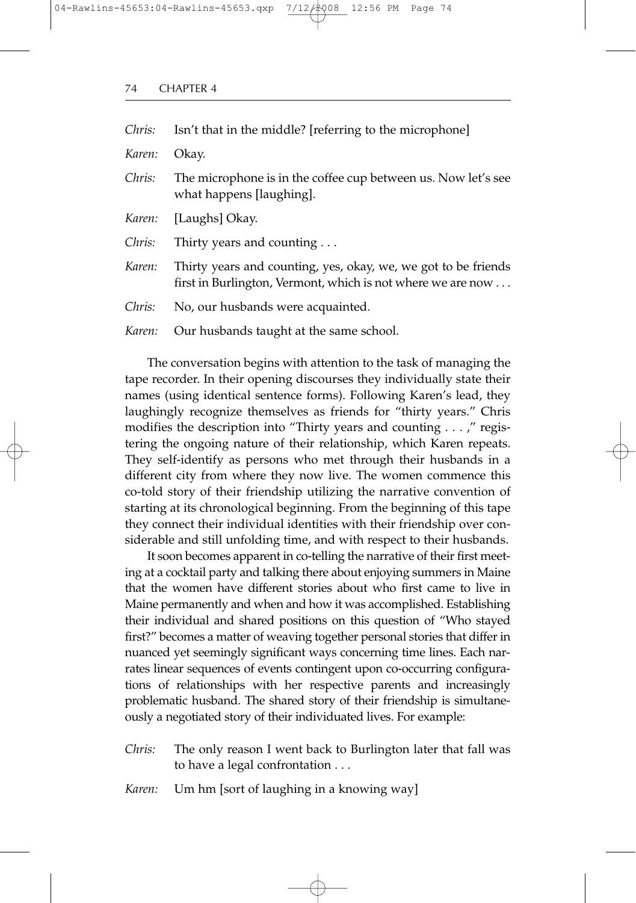| Chris:        | Isn't that in the middle? [referring to the microphone]                                                                       |
|---------------|-------------------------------------------------------------------------------------------------------------------------------|
| Karen:        | Okay.                                                                                                                         |
| <i>Chris:</i> | The microphone is in the coffee cup between us. Now let's see<br>what happens [laughing].                                     |
| Karen:        | [Laughs] Okay.                                                                                                                |
| <i>Chris:</i> | Thirty years and counting                                                                                                     |
| Karen:        | Thirty years and counting, yes, okay, we, we got to be friends<br>first in Burlington, Vermont, which is not where we are now |
| <i>Chris:</i> | No, our husbands were acquainted.                                                                                             |
| Karen:        | Our husbands taught at the same school.                                                                                       |

The conversation begins with attention to the task of managing the tape recorder. In their opening discourses they individually state their names (using identical sentence forms). Following Karen's lead, they laughingly recognize themselves as friends for "thirty years." Chris modifies the description into "Thirty years and counting . . . ," registering the ongoing nature of their relationship, which Karen repeats. They self-identify as persons who met through their husbands in a different city from where they now live. The women commence this co-told story of their friendship utilizing the narrative convention of starting at its chronological beginning. From the beginning of this tape they connect their individual identities with their friendship over considerable and still unfolding time, and with respect to their husbands.

It soon becomes apparent in co-telling the narrative of their first meeting at a cocktail party and talking there about enjoying summers in Maine that the women have different stories about who first came to live in Maine permanently and when and how it was accomplished. Establishing their individual and shared positions on this question of "Who stayed first?" becomes a matter of weaving together personal stories that differ in nuanced yet seemingly significant ways concerning time lines. Each narrates linear sequences of events contingent upon co-occurring configurations of relationships with her respective parents and increasingly problematic husband. The shared story of their friendship is simultaneously a negotiated story of their individuated lives. For example:

*Chris:* The only reason I went back to Burlington later that fall was to have a legal confrontation . . .

*Karen:* Um hm [sort of laughing in a knowing way]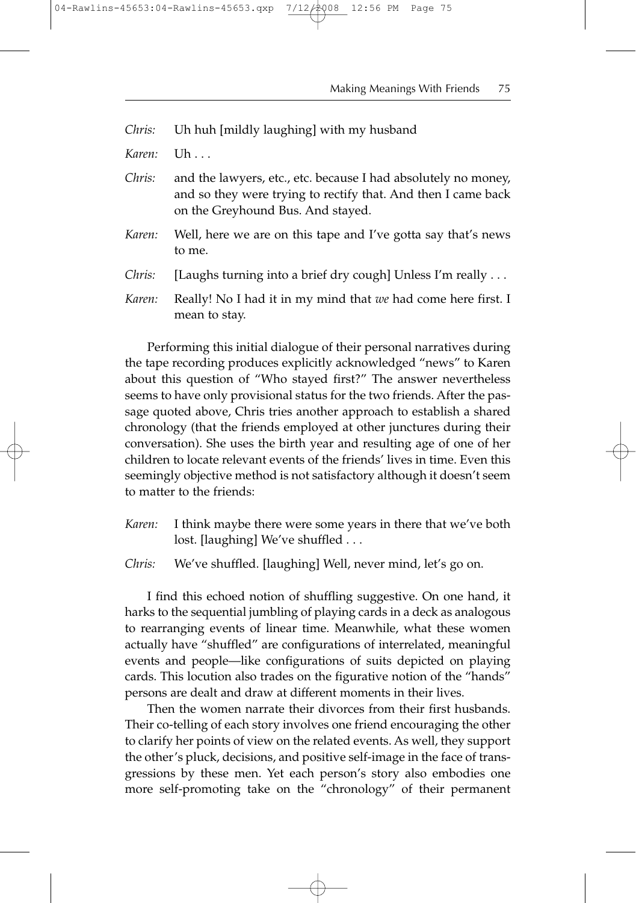- *Chris:* Uh huh [mildly laughing] with my husband
- *Karen:* Uh . . .
- *Chris:* and the lawyers, etc., etc. because I had absolutely no money, and so they were trying to rectify that. And then I came back on the Greyhound Bus. And stayed.
- *Karen:* Well, here we are on this tape and I've gotta say that's news to me.
- *Chris:* [Laughs turning into a brief dry cough] Unless I'm really . . .
- *Karen:* Really! No I had it in my mind that *we* had come here first. I mean to stay.

Performing this initial dialogue of their personal narratives during the tape recording produces explicitly acknowledged "news" to Karen about this question of "Who stayed first?" The answer nevertheless seems to have only provisional status for the two friends. After the passage quoted above, Chris tries another approach to establish a shared chronology (that the friends employed at other junctures during their conversation). She uses the birth year and resulting age of one of her children to locate relevant events of the friends' lives in time. Even this seemingly objective method is not satisfactory although it doesn't seem to matter to the friends:

- *Karen:* I think maybe there were some years in there that we've both lost. [laughing] We've shuffled . . .
- *Chris:* We've shuffled. [laughing] Well, never mind, let's go on.

I find this echoed notion of shuffling suggestive. On one hand, it harks to the sequential jumbling of playing cards in a deck as analogous to rearranging events of linear time. Meanwhile, what these women actually have "shuffled" are configurations of interrelated, meaningful events and people—like configurations of suits depicted on playing cards. This locution also trades on the figurative notion of the "hands" persons are dealt and draw at different moments in their lives.

Then the women narrate their divorces from their first husbands. Their co-telling of each story involves one friend encouraging the other to clarify her points of view on the related events. As well, they support the other's pluck, decisions, and positive self-image in the face of transgressions by these men. Yet each person's story also embodies one more self-promoting take on the "chronology" of their permanent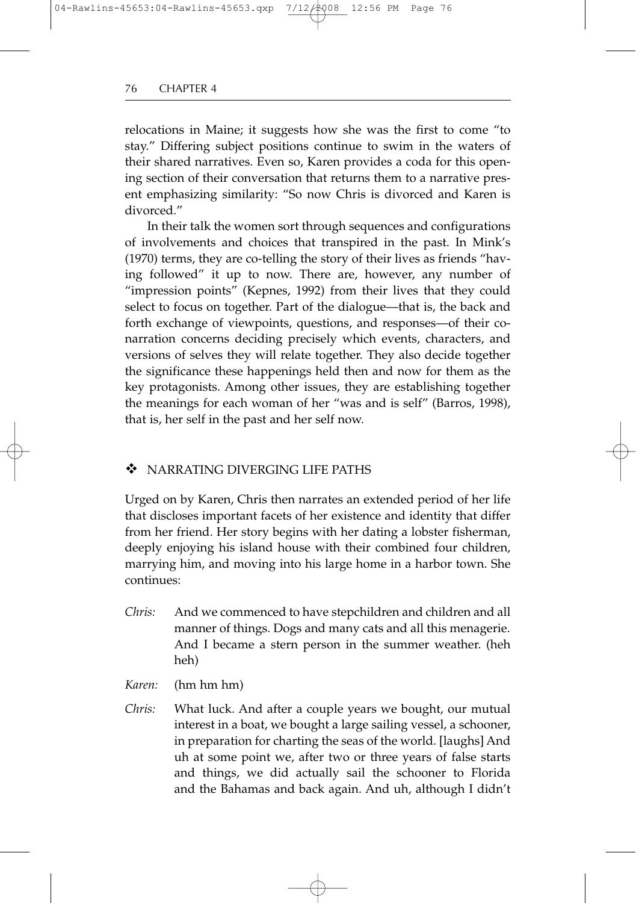relocations in Maine; it suggests how she was the first to come "to stay." Differing subject positions continue to swim in the waters of their shared narratives. Even so, Karen provides a coda for this opening section of their conversation that returns them to a narrative present emphasizing similarity: "So now Chris is divorced and Karen is divorced."

In their talk the women sort through sequences and configurations of involvements and choices that transpired in the past. In Mink's (1970) terms, they are co-telling the story of their lives as friends "having followed" it up to now. There are, however, any number of "impression points" (Kepnes, 1992) from their lives that they could select to focus on together. Part of the dialogue—that is, the back and forth exchange of viewpoints, questions, and responses—of their conarration concerns deciding precisely which events, characters, and versions of selves they will relate together. They also decide together the significance these happenings held then and now for them as the key protagonists. Among other issues, they are establishing together the meanings for each woman of her "was and is self" (Barros, 1998), that is, her self in the past and her self now.

#### $\cdot$ NARRATING DIVERGING LIFE PATHS

Urged on by Karen, Chris then narrates an extended period of her life that discloses important facets of her existence and identity that differ from her friend. Her story begins with her dating a lobster fisherman, deeply enjoying his island house with their combined four children, marrying him, and moving into his large home in a harbor town. She continues:

- *Chris:* And we commenced to have stepchildren and children and all manner of things. Dogs and many cats and all this menagerie. And I became a stern person in the summer weather. (heh heh)
- *Karen:* (hm hm hm)
- *Chris:* What luck. And after a couple years we bought, our mutual interest in a boat, we bought a large sailing vessel, a schooner, in preparation for charting the seas of the world. [laughs] And uh at some point we, after two or three years of false starts and things, we did actually sail the schooner to Florida and the Bahamas and back again. And uh, although I didn't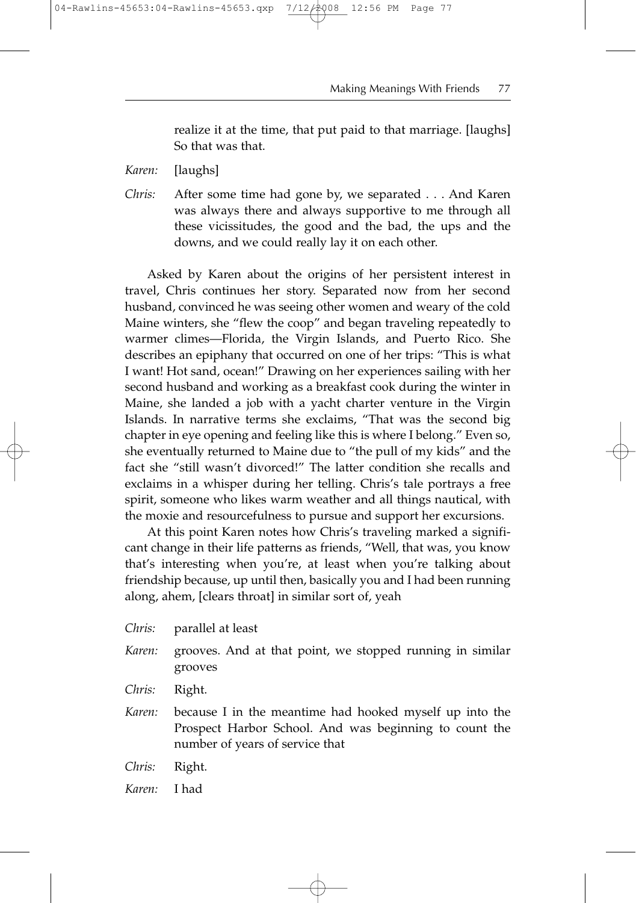realize it at the time, that put paid to that marriage. [laughs] So that was that.

- *Karen:* [laughs]
- *Chris:* After some time had gone by, we separated . . . And Karen was always there and always supportive to me through all these vicissitudes, the good and the bad, the ups and the downs, and we could really lay it on each other.

Asked by Karen about the origins of her persistent interest in travel, Chris continues her story. Separated now from her second husband, convinced he was seeing other women and weary of the cold Maine winters, she "flew the coop" and began traveling repeatedly to warmer climes—Florida, the Virgin Islands, and Puerto Rico. She describes an epiphany that occurred on one of her trips: "This is what I want! Hot sand, ocean!" Drawing on her experiences sailing with her second husband and working as a breakfast cook during the winter in Maine, she landed a job with a yacht charter venture in the Virgin Islands. In narrative terms she exclaims, "That was the second big chapter in eye opening and feeling like this is where I belong." Even so, she eventually returned to Maine due to "the pull of my kids" and the fact she "still wasn't divorced!" The latter condition she recalls and exclaims in a whisper during her telling. Chris's tale portrays a free spirit, someone who likes warm weather and all things nautical, with the moxie and resourcefulness to pursue and support her excursions.

At this point Karen notes how Chris's traveling marked a significant change in their life patterns as friends, "Well, that was, you know that's interesting when you're, at least when you're talking about friendship because, up until then, basically you and I had been running along, ahem, [clears throat] in similar sort of, yeah

- *Chris:* parallel at least
- *Karen:* grooves. And at that point, we stopped running in similar grooves
- *Chris:* Right.
- *Karen:* because I in the meantime had hooked myself up into the Prospect Harbor School. And was beginning to count the number of years of service that
- *Chris:* Right.
- *Karen:* I had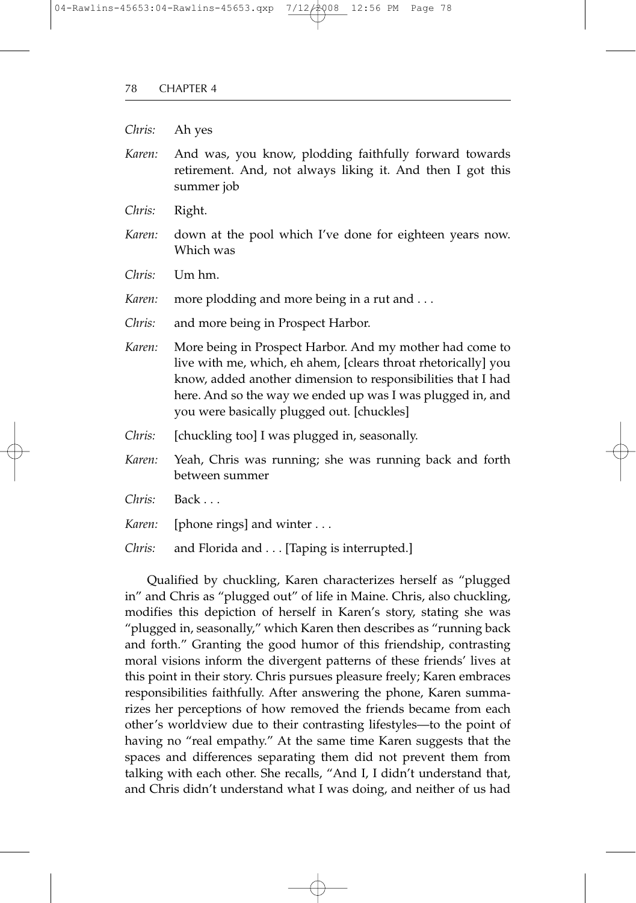- *Chris:* Ah yes
- *Karen:* And was, you know, plodding faithfully forward towards retirement. And, not always liking it. And then I got this summer job
- *Chris:* Right.
- *Karen:* down at the pool which I've done for eighteen years now. Which was
- *Chris:* Um hm.
- *Karen:* more plodding and more being in a rut and . . .
- *Chris:* and more being in Prospect Harbor.
- *Karen:* More being in Prospect Harbor. And my mother had come to live with me, which, eh ahem, [clears throat rhetorically] you know, added another dimension to responsibilities that I had here. And so the way we ended up was I was plugged in, and you were basically plugged out. [chuckles]
- *Chris:* [chuckling too] I was plugged in, seasonally.
- *Karen:* Yeah, Chris was running; she was running back and forth between summer
- *Chris:* Back . . .
- *Karen:* [phone rings] and winter . . .
- *Chris:* and Florida and . . . [Taping is interrupted.]

Qualified by chuckling, Karen characterizes herself as "plugged in" and Chris as "plugged out" of life in Maine. Chris, also chuckling, modifies this depiction of herself in Karen's story, stating she was "plugged in, seasonally," which Karen then describes as "running back and forth." Granting the good humor of this friendship, contrasting moral visions inform the divergent patterns of these friends' lives at this point in their story. Chris pursues pleasure freely; Karen embraces responsibilities faithfully. After answering the phone, Karen summarizes her perceptions of how removed the friends became from each other's worldview due to their contrasting lifestyles—to the point of having no "real empathy." At the same time Karen suggests that the spaces and differences separating them did not prevent them from talking with each other. She recalls, "And I, I didn't understand that, and Chris didn't understand what I was doing, and neither of us had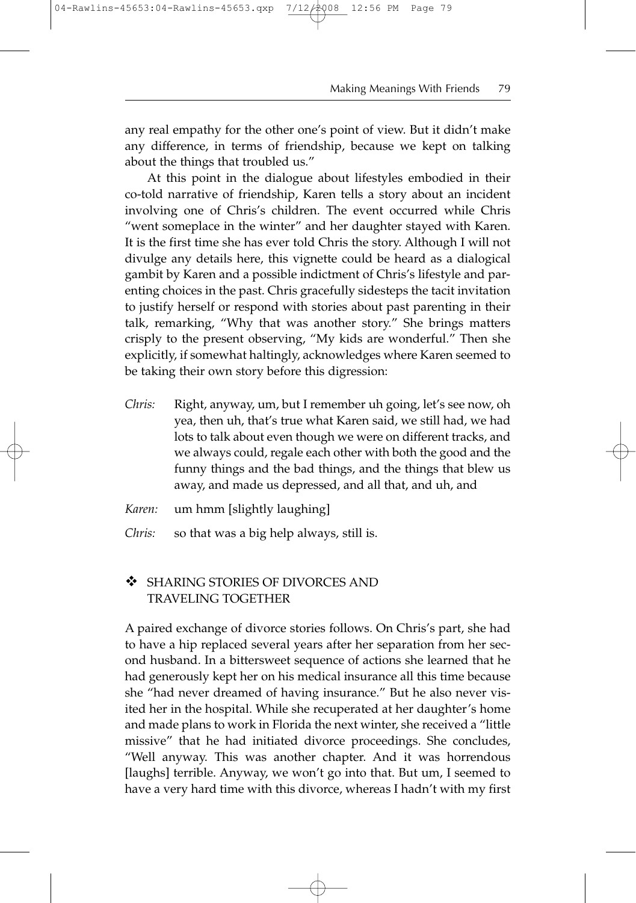any real empathy for the other one's point of view. But it didn't make any difference, in terms of friendship, because we kept on talking about the things that troubled us."

At this point in the dialogue about lifestyles embodied in their co-told narrative of friendship, Karen tells a story about an incident involving one of Chris's children. The event occurred while Chris "went someplace in the winter" and her daughter stayed with Karen. It is the first time she has ever told Chris the story. Although I will not divulge any details here, this vignette could be heard as a dialogical gambit by Karen and a possible indictment of Chris's lifestyle and parenting choices in the past. Chris gracefully sidesteps the tacit invitation to justify herself or respond with stories about past parenting in their talk, remarking, "Why that was another story." She brings matters crisply to the present observing, "My kids are wonderful." Then she explicitly, if somewhat haltingly, acknowledges where Karen seemed to be taking their own story before this digression:

- *Chris:* Right, anyway, um, but I remember uh going, let's see now, oh yea, then uh, that's true what Karen said, we still had, we had lots to talk about even though we were on different tracks, and we always could, regale each other with both the good and the funny things and the bad things, and the things that blew us away, and made us depressed, and all that, and uh, and
- *Karen:* um hmm [slightly laughing]

*Chris:* so that was a big help always, still is.

#### - SHARING STORIES OF DIVORCES AND TRAVELING TOGETHER

A paired exchange of divorce stories follows. On Chris's part, she had to have a hip replaced several years after her separation from her second husband. In a bittersweet sequence of actions she learned that he had generously kept her on his medical insurance all this time because she "had never dreamed of having insurance." But he also never visited her in the hospital. While she recuperated at her daughter's home and made plans to work in Florida the next winter, she received a "little missive" that he had initiated divorce proceedings. She concludes, "Well anyway. This was another chapter. And it was horrendous [laughs] terrible. Anyway, we won't go into that. But um, I seemed to have a very hard time with this divorce, whereas I hadn't with my first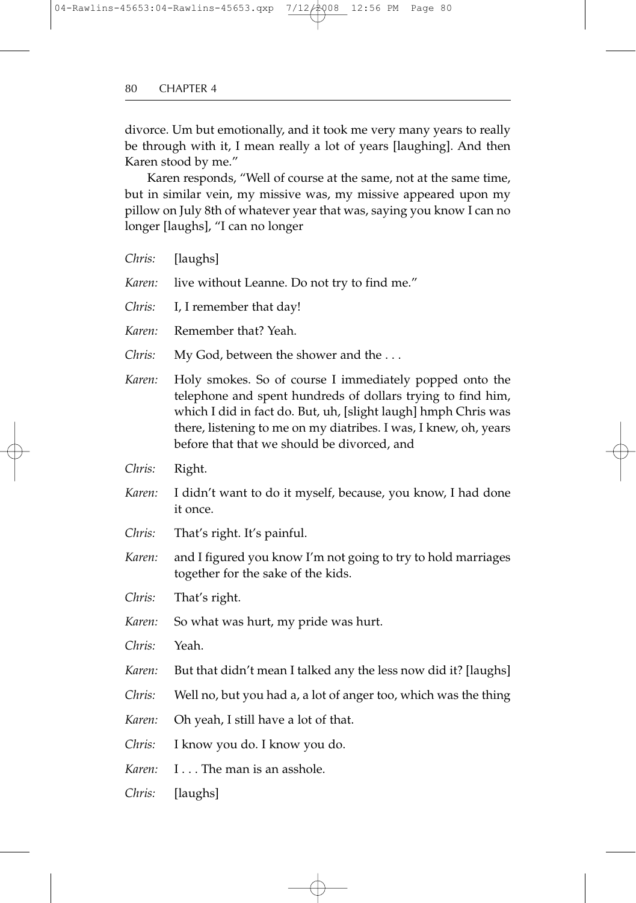divorce. Um but emotionally, and it took me very many years to really be through with it, I mean really a lot of years [laughing]. And then Karen stood by me."

Karen responds, "Well of course at the same, not at the same time, but in similar vein, my missive was, my missive appeared upon my pillow on July 8th of whatever year that was, saying you know I can no longer [laughs], "I can no longer

| Chris: | [laughs]                                                                                                                                                                                                                                                                                                    |
|--------|-------------------------------------------------------------------------------------------------------------------------------------------------------------------------------------------------------------------------------------------------------------------------------------------------------------|
| Karen: | live without Leanne. Do not try to find me."                                                                                                                                                                                                                                                                |
| Chris: | I, I remember that day!                                                                                                                                                                                                                                                                                     |
| Karen: | Remember that? Yeah.                                                                                                                                                                                                                                                                                        |
| Chris: | My God, between the shower and the                                                                                                                                                                                                                                                                          |
| Karen: | Holy smokes. So of course I immediately popped onto the<br>telephone and spent hundreds of dollars trying to find him,<br>which I did in fact do. But, uh, [slight laugh] hmph Chris was<br>there, listening to me on my diatribes. I was, I knew, oh, years<br>before that that we should be divorced, and |
| Chris: | Right.                                                                                                                                                                                                                                                                                                      |
| Karen: | I didn't want to do it myself, because, you know, I had done<br>it once.                                                                                                                                                                                                                                    |
| Chris: | That's right. It's painful.                                                                                                                                                                                                                                                                                 |
| Karen: | and I figured you know I'm not going to try to hold marriages<br>together for the sake of the kids.                                                                                                                                                                                                         |
| Chris: | That's right.                                                                                                                                                                                                                                                                                               |
| Karen: | So what was hurt, my pride was hurt.                                                                                                                                                                                                                                                                        |
| Chris: | Yeah.                                                                                                                                                                                                                                                                                                       |
| Karen: | But that didn't mean I talked any the less now did it? [laughs]                                                                                                                                                                                                                                             |
| Chris: | Well no, but you had a, a lot of anger too, which was the thing                                                                                                                                                                                                                                             |
| Karen: | Oh yeah, I still have a lot of that.                                                                                                                                                                                                                                                                        |
| Chris: | I know you do. I know you do.                                                                                                                                                                                                                                                                               |
| Karen: | I The man is an asshole.                                                                                                                                                                                                                                                                                    |
| Chris: | [laughs]                                                                                                                                                                                                                                                                                                    |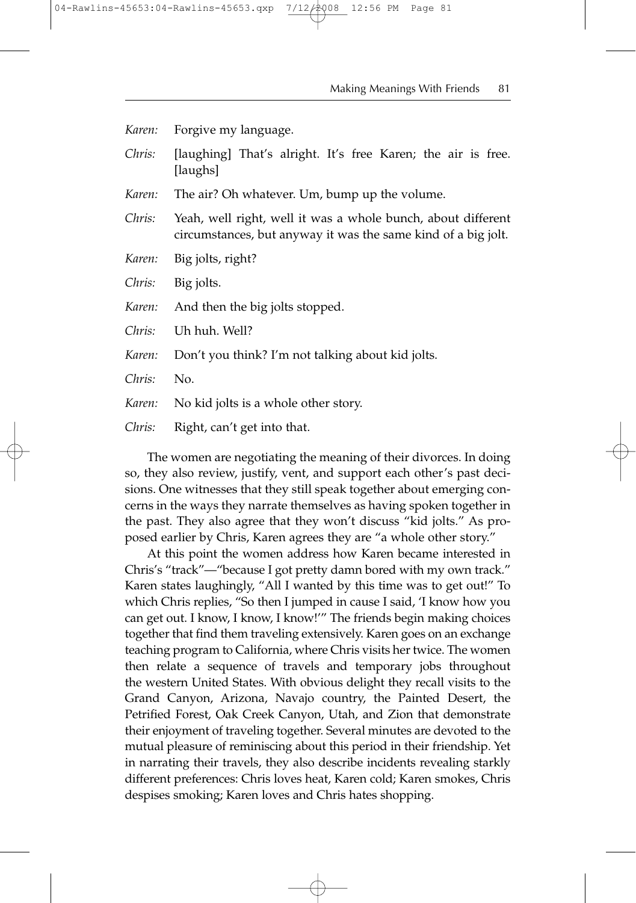| Karen: | Forgive my language.                                                                                                          |
|--------|-------------------------------------------------------------------------------------------------------------------------------|
| Chris: | [laughing] That's alright. It's free Karen; the air is free.<br>[laughs]                                                      |
| Karen: | The air? Oh whatever. Um, bump up the volume.                                                                                 |
| Chris: | Yeah, well right, well it was a whole bunch, about different<br>circumstances, but anyway it was the same kind of a big jolt. |
| Karen: | Big jolts, right?                                                                                                             |
| Chris: | Big jolts.                                                                                                                    |
| Karen: | And then the big jolts stopped.                                                                                               |
| Chris: | Uh huh. Well?                                                                                                                 |
| Karen: | Don't you think? I'm not talking about kid jolts.                                                                             |
| Chris: | No.                                                                                                                           |
| Karen: | No kid jolts is a whole other story.                                                                                          |
| Chris: | Right, can't get into that.                                                                                                   |

The women are negotiating the meaning of their divorces. In doing so, they also review, justify, vent, and support each other's past decisions. One witnesses that they still speak together about emerging concerns in the ways they narrate themselves as having spoken together in the past. They also agree that they won't discuss "kid jolts." As proposed earlier by Chris, Karen agrees they are "a whole other story."

At this point the women address how Karen became interested in Chris's "track"—"because I got pretty damn bored with my own track." Karen states laughingly, "All I wanted by this time was to get out!" To which Chris replies, "So then I jumped in cause I said, 'I know how you can get out. I know, I know, I know!'" The friends begin making choices together that find them traveling extensively. Karen goes on an exchange teaching program to California, where Chris visits her twice. The women then relate a sequence of travels and temporary jobs throughout the western United States. With obvious delight they recall visits to the Grand Canyon, Arizona, Navajo country, the Painted Desert, the Petrified Forest, Oak Creek Canyon, Utah, and Zion that demonstrate their enjoyment of traveling together. Several minutes are devoted to the mutual pleasure of reminiscing about this period in their friendship. Yet in narrating their travels, they also describe incidents revealing starkly different preferences: Chris loves heat, Karen cold; Karen smokes, Chris despises smoking; Karen loves and Chris hates shopping.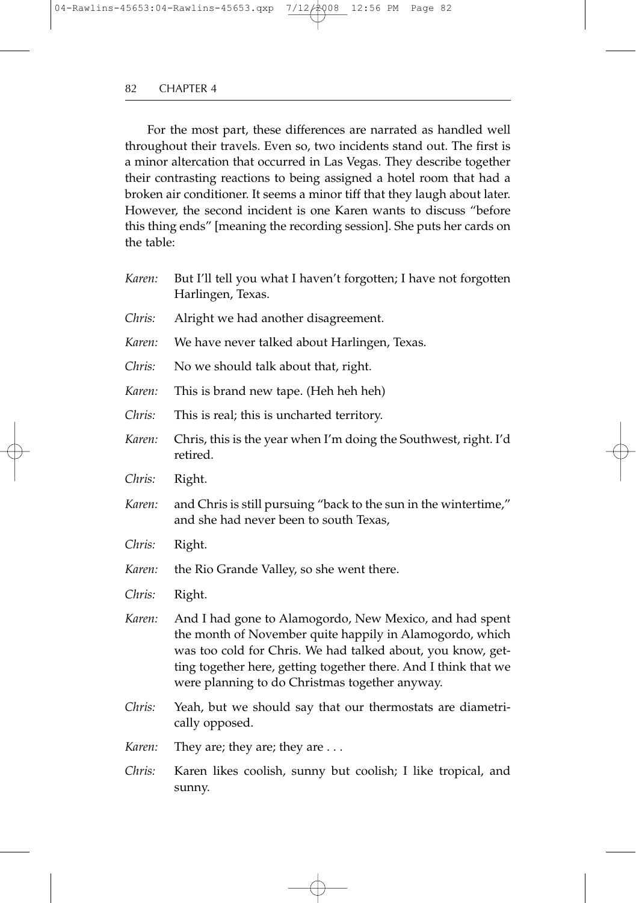For the most part, these differences are narrated as handled well throughout their travels. Even so, two incidents stand out. The first is a minor altercation that occurred in Las Vegas. They describe together their contrasting reactions to being assigned a hotel room that had a broken air conditioner. It seems a minor tiff that they laugh about later. However, the second incident is one Karen wants to discuss "before this thing ends" [meaning the recording session]. She puts her cards on the table:

- *Karen:* But I'll tell you what I haven't forgotten; I have not forgotten Harlingen, Texas.
- *Chris:* Alright we had another disagreement.
- *Karen:* We have never talked about Harlingen, Texas.
- *Chris:* No we should talk about that, right.
- *Karen:* This is brand new tape. (Heh heh heh)
- *Chris:* This is real; this is uncharted territory.
- *Karen:* Chris, this is the year when I'm doing the Southwest, right. I'd retired.
- *Chris:* Right.
- *Karen:* and Chris is still pursuing "back to the sun in the wintertime," and she had never been to south Texas,
- *Chris:* Right.
- *Karen:* the Rio Grande Valley, so she went there.
- *Chris:* Right.
- *Karen:* And I had gone to Alamogordo, New Mexico, and had spent the month of November quite happily in Alamogordo, which was too cold for Chris. We had talked about, you know, getting together here, getting together there. And I think that we were planning to do Christmas together anyway.
- *Chris:* Yeah, but we should say that our thermostats are diametrically opposed.
- *Karen:* They are; they are; they are . . .
- *Chris:* Karen likes coolish, sunny but coolish; I like tropical, and sunny.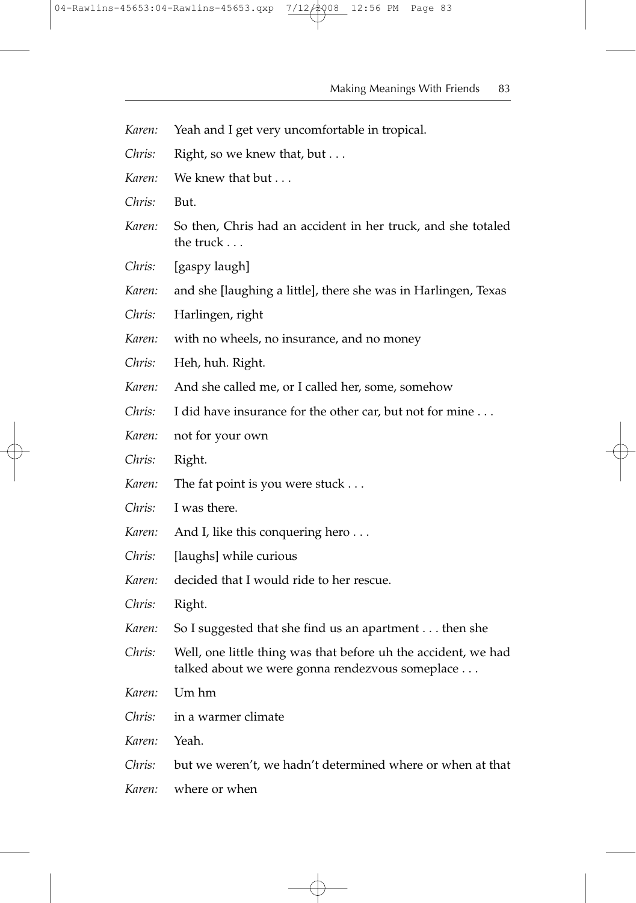- *Karen:* Yeah and I get very uncomfortable in tropical.
- *Chris:* Right, so we knew that, but . . .
- *Karen:* We knew that but . . .
- *Chris:* But.
- *Karen:* So then, Chris had an accident in her truck, and she totaled the truck . . .
- *Chris:* [gaspy laugh]
- *Karen:* and she [laughing a little], there she was in Harlingen, Texas
- *Chris:* Harlingen, right
- *Karen:* with no wheels, no insurance, and no money
- *Chris:* Heh, huh. Right.
- *Karen:* And she called me, or I called her, some, somehow
- *Chris:* I did have insurance for the other car, but not for mine . . .
- *Karen:* not for your own
- *Chris:* Right.
- *Karen:* The fat point is you were stuck . . .
- *Chris:* I was there.
- *Karen:* And I, like this conquering hero . . .
- *Chris:* [laughs] while curious
- *Karen:* decided that I would ride to her rescue.
- *Chris:* Right.
- *Karen:* So I suggested that she find us an apartment . . . then she
- *Chris:* Well, one little thing was that before uh the accident, we had talked about we were gonna rendezvous someplace . . .
- *Karen:* Um hm
- *Chris:* in a warmer climate
- *Karen:* Yeah.
- *Chris:* but we weren't, we hadn't determined where or when at that
- *Karen:* where or when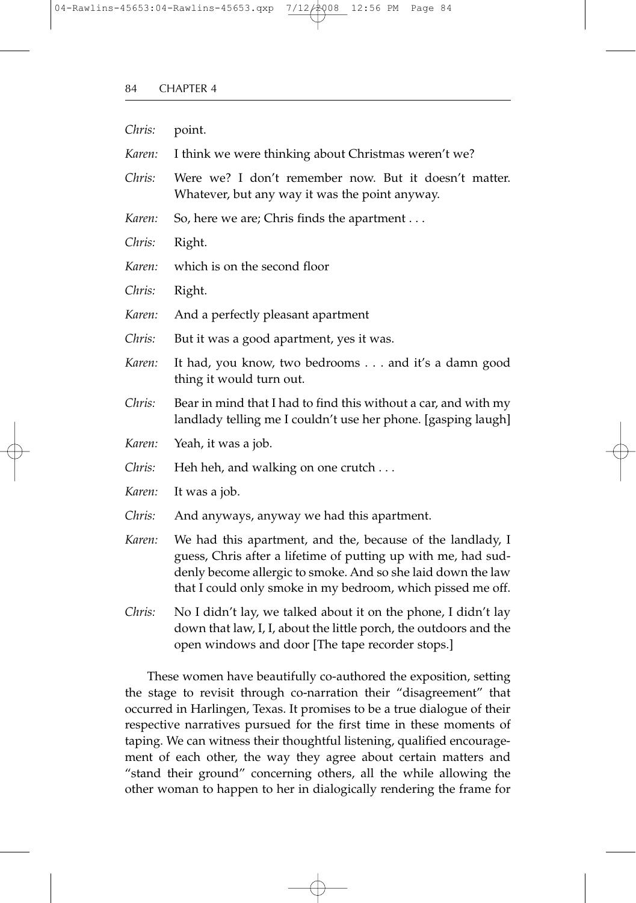*Chris:* point.

| Karen:        | I think we were thinking about Christmas weren't we?                                                                                                                                                                                                       |
|---------------|------------------------------------------------------------------------------------------------------------------------------------------------------------------------------------------------------------------------------------------------------------|
| Chris:        | Were we? I don't remember now. But it doesn't matter.<br>Whatever, but any way it was the point anyway.                                                                                                                                                    |
| Karen:        | So, here we are; Chris finds the apartment                                                                                                                                                                                                                 |
| Chris:        | Right.                                                                                                                                                                                                                                                     |
| Karen:        | which is on the second floor                                                                                                                                                                                                                               |
| Chris:        | Right.                                                                                                                                                                                                                                                     |
| Karen:        | And a perfectly pleasant apartment                                                                                                                                                                                                                         |
| <i>Chris:</i> | But it was a good apartment, yes it was.                                                                                                                                                                                                                   |
| Karen:        | It had, you know, two bedrooms and it's a damn good<br>thing it would turn out.                                                                                                                                                                            |
| Chris:        | Bear in mind that I had to find this without a car, and with my<br>landlady telling me I couldn't use her phone. [gasping laugh]                                                                                                                           |
| Karen:        | Yeah, it was a job.                                                                                                                                                                                                                                        |
| Chris:        | Heh heh, and walking on one crutch                                                                                                                                                                                                                         |
| Karen:        | It was a job.                                                                                                                                                                                                                                              |
| <i>Chris:</i> | And anyways, anyway we had this apartment.                                                                                                                                                                                                                 |
| Karen:        | We had this apartment, and the, because of the landlady, I<br>guess, Chris after a lifetime of putting up with me, had sud-<br>denly become allergic to smoke. And so she laid down the law<br>that I could only smoke in my bedroom, which pissed me off. |
| Chris:        | No I didn't lay, we talked about it on the phone, I didn't lay<br>down that law, I, I, about the little porch, the outdoors and the<br>open windows and door [The tape recorder stops.]                                                                    |

These women have beautifully co-authored the exposition, setting the stage to revisit through co-narration their "disagreement" that occurred in Harlingen, Texas. It promises to be a true dialogue of their respective narratives pursued for the first time in these moments of taping. We can witness their thoughtful listening, qualified encouragement of each other, the way they agree about certain matters and "stand their ground" concerning others, all the while allowing the other woman to happen to her in dialogically rendering the frame for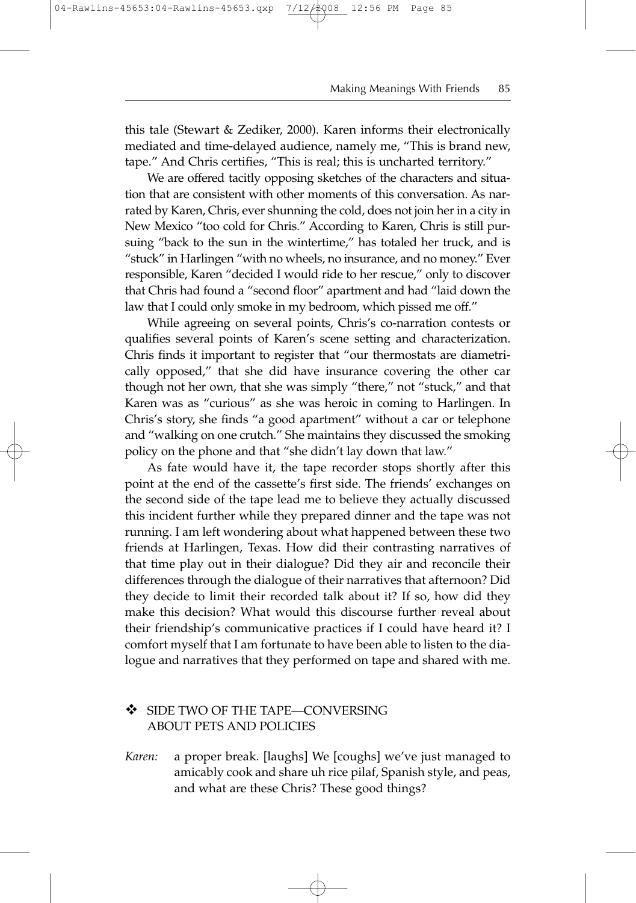04-Rawlins-45653:04-Rawlins-45653.qxp 7/12/2008 12:56 PM Page 85

this tale (Stewart & Zediker, 2000). Karen informs their electronically mediated and time-delayed audience, namely me, "This is brand new, tape." And Chris certifies, "This is real; this is uncharted territory."

We are offered tacitly opposing sketches of the characters and situation that are consistent with other moments of this conversation. As narrated by Karen, Chris, ever shunning the cold, does not join her in a city in New Mexico "too cold for Chris." According to Karen, Chris is still pursuing "back to the sun in the wintertime," has totaled her truck, and is "stuck" in Harlingen "with no wheels, no insurance, and no money." Ever responsible, Karen "decided I would ride to her rescue," only to discover that Chris had found a "second floor" apartment and had "laid down the law that I could only smoke in my bedroom, which pissed me off."

While agreeing on several points, Chris's co-narration contests or qualifies several points of Karen's scene setting and characterization. Chris finds it important to register that "our thermostats are diametrically opposed," that she did have insurance covering the other car though not her own, that she was simply "there," not "stuck," and that Karen was as "curious" as she was heroic in coming to Harlingen. In Chris's story, she finds "a good apartment" without a car or telephone and "walking on one crutch." She maintains they discussed the smoking policy on the phone and that "she didn't lay down that law."

As fate would have it, the tape recorder stops shortly after this point at the end of the cassette's first side. The friends' exchanges on the second side of the tape lead me to believe they actually discussed this incident further while they prepared dinner and the tape was not running. I am left wondering about what happened between these two friends at Harlingen, Texas. How did their contrasting narratives of that time play out in their dialogue? Did they air and reconcile their differences through the dialogue of their narratives that afternoon? Did they decide to limit their recorded talk about it? If so, how did they make this decision? What would this discourse further reveal about their friendship's communicative practices if I could have heard it? I comfort myself that I am fortunate to have been able to listen to the dialogue and narratives that they performed on tape and shared with me.

#### • SIDE TWO OF THE TAPE—CONVERSING ABOUT PETS AND POLICIES

*Karen:* a proper break. [laughs] We [coughs] we've just managed to amicably cook and share uh rice pilaf, Spanish style, and peas, and what are these Chris? These good things?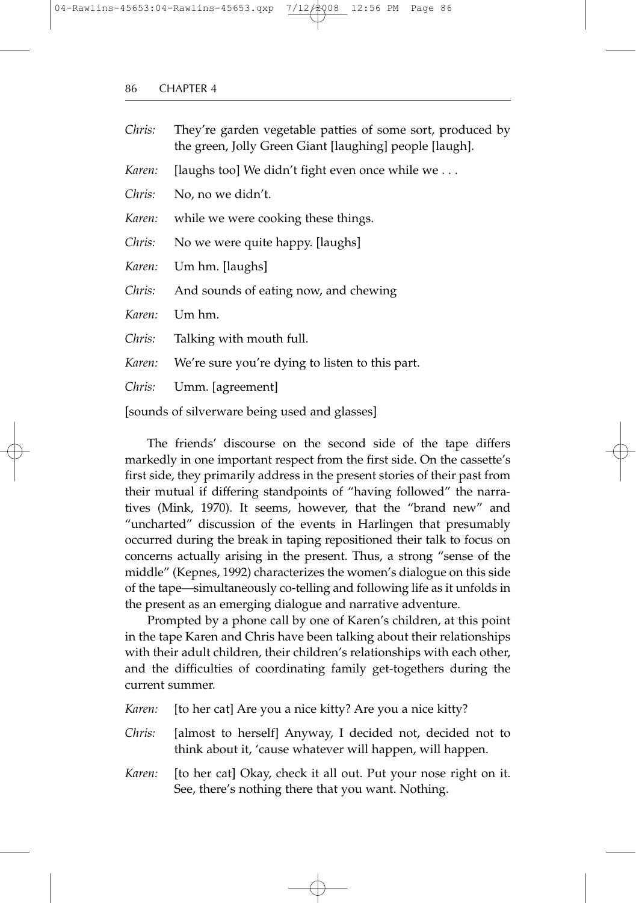| Chris: | They're garden vegetable patties of some sort, produced by<br>the green, Jolly Green Giant [laughing] people [laugh]. |
|--------|-----------------------------------------------------------------------------------------------------------------------|
| Karen: | [laughs too] We didn't fight even once while we                                                                       |
| Chris: | No, no we didn't.                                                                                                     |
| Karen: | while we were cooking these things.                                                                                   |
| Chris: | No we were quite happy. [laughs]                                                                                      |
| Karen: | Um hm. [laughs]                                                                                                       |
| Chris: | And sounds of eating now, and chewing                                                                                 |
| Karen: | Um hm.                                                                                                                |
| Chris: | Talking with mouth full.                                                                                              |
| Karen: | We're sure you're dying to listen to this part.                                                                       |
|        |                                                                                                                       |

*Chris:* Umm. [agreement]

[sounds of silverware being used and glasses]

The friends' discourse on the second side of the tape differs markedly in one important respect from the first side. On the cassette's first side, they primarily address in the present stories of their past from their mutual if differing standpoints of "having followed" the narratives (Mink, 1970). It seems, however, that the "brand new" and "uncharted" discussion of the events in Harlingen that presumably occurred during the break in taping repositioned their talk to focus on concerns actually arising in the present. Thus, a strong "sense of the middle" (Kepnes, 1992) characterizes the women's dialogue on this side of the tape—simultaneously co-telling and following life as it unfolds in the present as an emerging dialogue and narrative adventure.

Prompted by a phone call by one of Karen's children, at this point in the tape Karen and Chris have been talking about their relationships with their adult children, their children's relationships with each other, and the difficulties of coordinating family get-togethers during the current summer.

*Karen:* [to her cat] Are you a nice kitty? Are you a nice kitty?

- *Chris:* [almost to herself] Anyway, I decided not, decided not to think about it, 'cause whatever will happen, will happen.
- *Karen:* [to her cat] Okay, check it all out. Put your nose right on it. See, there's nothing there that you want. Nothing.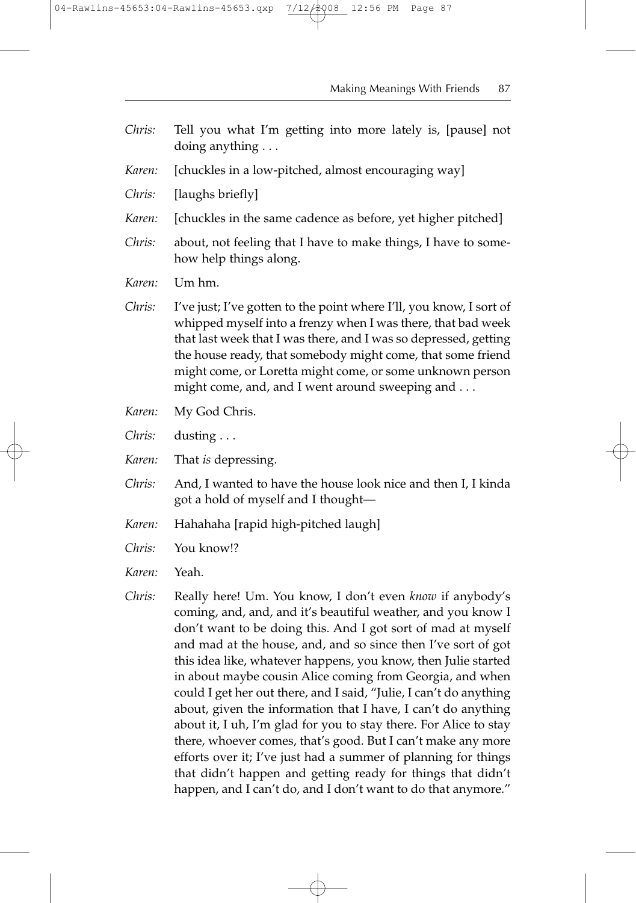- *Chris:* Tell you what I'm getting into more lately is, [pause] not doing anything . . .
- *Karen:* [chuckles in a low-pitched, almost encouraging way]
- *Chris:* [laughs briefly]
- *Karen:* [chuckles in the same cadence as before, yet higher pitched]
- *Chris:* about, not feeling that I have to make things, I have to somehow help things along.
- *Karen:* Um hm.
- *Chris:* I've just; I've gotten to the point where I'll, you know, I sort of whipped myself into a frenzy when I was there, that bad week that last week that I was there, and I was so depressed, getting the house ready, that somebody might come, that some friend might come, or Loretta might come, or some unknown person might come, and, and I went around sweeping and . . .
- *Karen:* My God Chris.
- *Chris:* dusting . . .
- *Karen:* That *is* depressing.
- *Chris:* And, I wanted to have the house look nice and then I, I kinda got a hold of myself and I thought—
- *Karen:* Hahahaha [rapid high-pitched laugh]
- *Chris:* You know!?
- *Karen:* Yeah.
- *Chris:* Really here! Um. You know, I don't even *know* if anybody's coming, and, and, and it's beautiful weather, and you know I don't want to be doing this. And I got sort of mad at myself and mad at the house, and, and so since then I've sort of got this idea like, whatever happens, you know, then Julie started in about maybe cousin Alice coming from Georgia, and when could I get her out there, and I said, "Julie, I can't do anything about, given the information that I have, I can't do anything about it, I uh, I'm glad for you to stay there. For Alice to stay there, whoever comes, that's good. But I can't make any more efforts over it; I've just had a summer of planning for things that didn't happen and getting ready for things that didn't happen, and I can't do, and I don't want to do that anymore."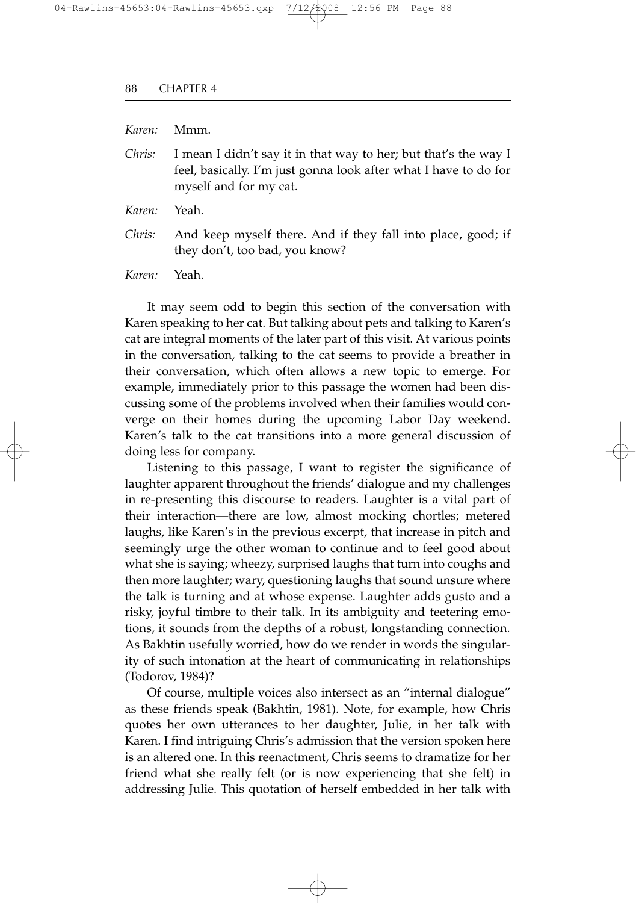*Karen:* Mmm.

- *Chris:* I mean I didn't say it in that way to her; but that's the way I feel, basically. I'm just gonna look after what I have to do for myself and for my cat.
- *Karen:* Yeah.
- *Chris:* And keep myself there. And if they fall into place, good; if they don't, too bad, you know?

*Karen:* Yeah.

It may seem odd to begin this section of the conversation with Karen speaking to her cat. But talking about pets and talking to Karen's cat are integral moments of the later part of this visit. At various points in the conversation, talking to the cat seems to provide a breather in their conversation, which often allows a new topic to emerge. For example, immediately prior to this passage the women had been discussing some of the problems involved when their families would converge on their homes during the upcoming Labor Day weekend. Karen's talk to the cat transitions into a more general discussion of doing less for company.

Listening to this passage, I want to register the significance of laughter apparent throughout the friends' dialogue and my challenges in re-presenting this discourse to readers. Laughter is a vital part of their interaction—there are low, almost mocking chortles; metered laughs, like Karen's in the previous excerpt, that increase in pitch and seemingly urge the other woman to continue and to feel good about what she is saying; wheezy, surprised laughs that turn into coughs and then more laughter; wary, questioning laughs that sound unsure where the talk is turning and at whose expense. Laughter adds gusto and a risky, joyful timbre to their talk. In its ambiguity and teetering emotions, it sounds from the depths of a robust, longstanding connection. As Bakhtin usefully worried, how do we render in words the singularity of such intonation at the heart of communicating in relationships (Todorov, 1984)?

Of course, multiple voices also intersect as an "internal dialogue" as these friends speak (Bakhtin, 1981). Note, for example, how Chris quotes her own utterances to her daughter, Julie, in her talk with Karen. I find intriguing Chris's admission that the version spoken here is an altered one. In this reenactment, Chris seems to dramatize for her friend what she really felt (or is now experiencing that she felt) in addressing Julie. This quotation of herself embedded in her talk with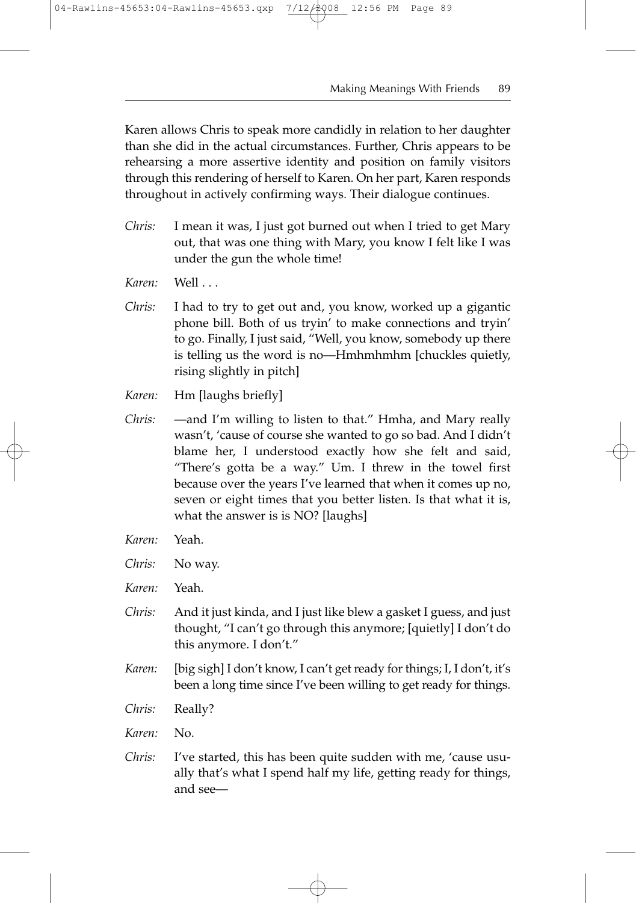Karen allows Chris to speak more candidly in relation to her daughter than she did in the actual circumstances. Further, Chris appears to be rehearsing a more assertive identity and position on family visitors through this rendering of herself to Karen. On her part, Karen responds throughout in actively confirming ways. Their dialogue continues.

- *Chris:* I mean it was, I just got burned out when I tried to get Mary out, that was one thing with Mary, you know I felt like I was under the gun the whole time!
- *Karen:* Well . . .
- *Chris:* I had to try to get out and, you know, worked up a gigantic phone bill. Both of us tryin' to make connections and tryin' to go. Finally, I just said, "Well, you know, somebody up there is telling us the word is no—Hmhmhmhm [chuckles quietly, rising slightly in pitch]
- *Karen:* Hm [laughs briefly]
- *Chris:* —and I'm willing to listen to that." Hmha, and Mary really wasn't, 'cause of course she wanted to go so bad. And I didn't blame her, I understood exactly how she felt and said, "There's gotta be a way." Um. I threw in the towel first because over the years I've learned that when it comes up no, seven or eight times that you better listen. Is that what it is, what the answer is is NO? [laughs]
- *Karen:* Yeah.
- *Chris:* No way.
- *Karen:* Yeah.
- *Chris:* And it just kinda, and I just like blew a gasket I guess, and just thought, "I can't go through this anymore; [quietly] I don't do this anymore. I don't."
- *Karen:* [big sigh] I don't know, I can't get ready for things; I, I don't, it's been a long time since I've been willing to get ready for things.
- *Chris:* Really?
- *Karen:* No.
- *Chris:* I've started, this has been quite sudden with me, 'cause usually that's what I spend half my life, getting ready for things, and see—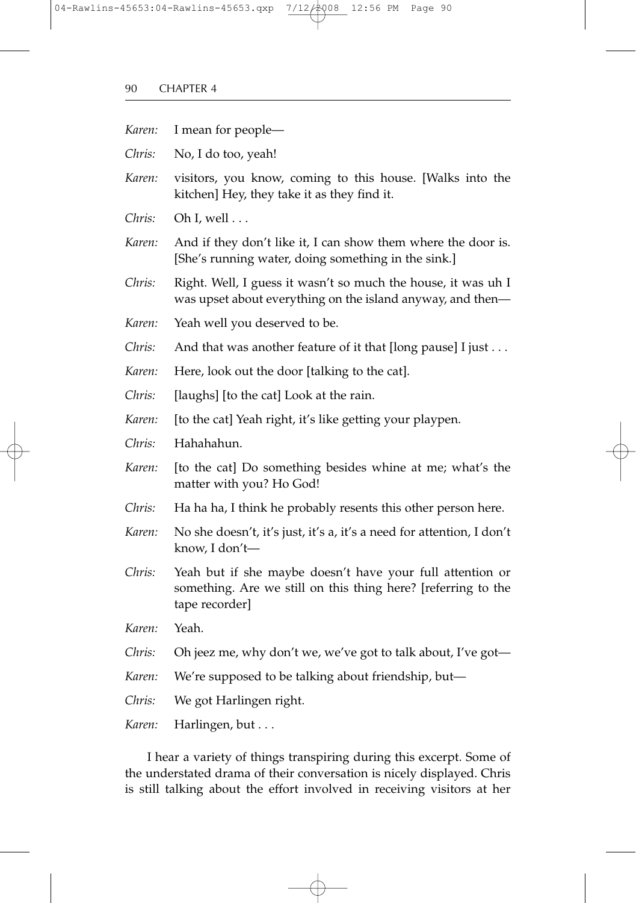| Karen:        | I mean for people-                                                                                                                           |
|---------------|----------------------------------------------------------------------------------------------------------------------------------------------|
| Chris:        | No, I do too, yeah!                                                                                                                          |
| Karen:        | visitors, you know, coming to this house. [Walks into the<br>kitchen] Hey, they take it as they find it.                                     |
| Chris:        | Oh I, well $\ldots$                                                                                                                          |
| Karen:        | And if they don't like it, I can show them where the door is.<br>[She's running water, doing something in the sink.]                         |
| <i>Chris:</i> | Right. Well, I guess it wasn't so much the house, it was uh I<br>was upset about everything on the island anyway, and then-                  |
| Karen:        | Yeah well you deserved to be.                                                                                                                |
| Chris:        | And that was another feature of it that [long pause] I just                                                                                  |
| Karen:        | Here, look out the door [talking to the cat].                                                                                                |
| Chris:        | [laughs] [to the cat] Look at the rain.                                                                                                      |
| Karen:        | [to the cat] Yeah right, it's like getting your playpen.                                                                                     |
| <i>Chris:</i> | Hahahahun.                                                                                                                                   |
| Karen:        | [to the cat] Do something besides whine at me; what's the<br>matter with you? Ho God!                                                        |
| Chris:        | Ha ha ha, I think he probably resents this other person here.                                                                                |
| Karen:        | No she doesn't, it's just, it's a, it's a need for attention, I don't<br>know, I don't-                                                      |
| Chris:        | Yeah but if she maybe doesn't have your full attention or<br>something. Are we still on this thing here? [referring to the<br>tape recorder] |
| Karen:        | Yeah.                                                                                                                                        |
| Chris:        | Oh jeez me, why don't we, we've got to talk about, I've got-                                                                                 |
| Karen:        | We're supposed to be talking about friendship, but-                                                                                          |
| Chris:        | We got Harlingen right.                                                                                                                      |
| Karen:        | Harlingen, but                                                                                                                               |

I hear a variety of things transpiring during this excerpt. Some of the understated drama of their conversation is nicely displayed. Chris is still talking about the effort involved in receiving visitors at her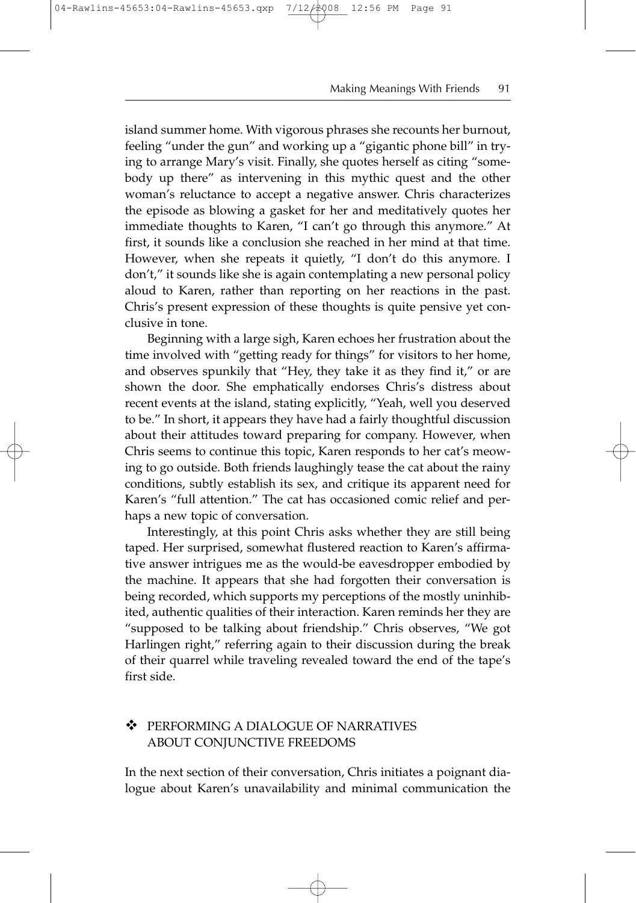island summer home. With vigorous phrases she recounts her burnout, feeling "under the gun" and working up a "gigantic phone bill" in trying to arrange Mary's visit. Finally, she quotes herself as citing "somebody up there" as intervening in this mythic quest and the other woman's reluctance to accept a negative answer. Chris characterizes the episode as blowing a gasket for her and meditatively quotes her immediate thoughts to Karen, "I can't go through this anymore." At first, it sounds like a conclusion she reached in her mind at that time. However, when she repeats it quietly, "I don't do this anymore. I don't," it sounds like she is again contemplating a new personal policy aloud to Karen, rather than reporting on her reactions in the past. Chris's present expression of these thoughts is quite pensive yet conclusive in tone.

Beginning with a large sigh, Karen echoes her frustration about the time involved with "getting ready for things" for visitors to her home, and observes spunkily that "Hey, they take it as they find it," or are shown the door. She emphatically endorses Chris's distress about recent events at the island, stating explicitly, "Yeah, well you deserved to be." In short, it appears they have had a fairly thoughtful discussion about their attitudes toward preparing for company. However, when Chris seems to continue this topic, Karen responds to her cat's meowing to go outside. Both friends laughingly tease the cat about the rainy conditions, subtly establish its sex, and critique its apparent need for Karen's "full attention." The cat has occasioned comic relief and perhaps a new topic of conversation.

Interestingly, at this point Chris asks whether they are still being taped. Her surprised, somewhat flustered reaction to Karen's affirmative answer intrigues me as the would-be eavesdropper embodied by the machine. It appears that she had forgotten their conversation is being recorded, which supports my perceptions of the mostly uninhibited, authentic qualities of their interaction. Karen reminds her they are "supposed to be talking about friendship." Chris observes, "We got Harlingen right," referring again to their discussion during the break of their quarrel while traveling revealed toward the end of the tape's first side.

### - PERFORMING A DIALOGUE OF NARRATIVES ABOUT CONJUNCTIVE FREEDOMS

In the next section of their conversation, Chris initiates a poignant dialogue about Karen's unavailability and minimal communication the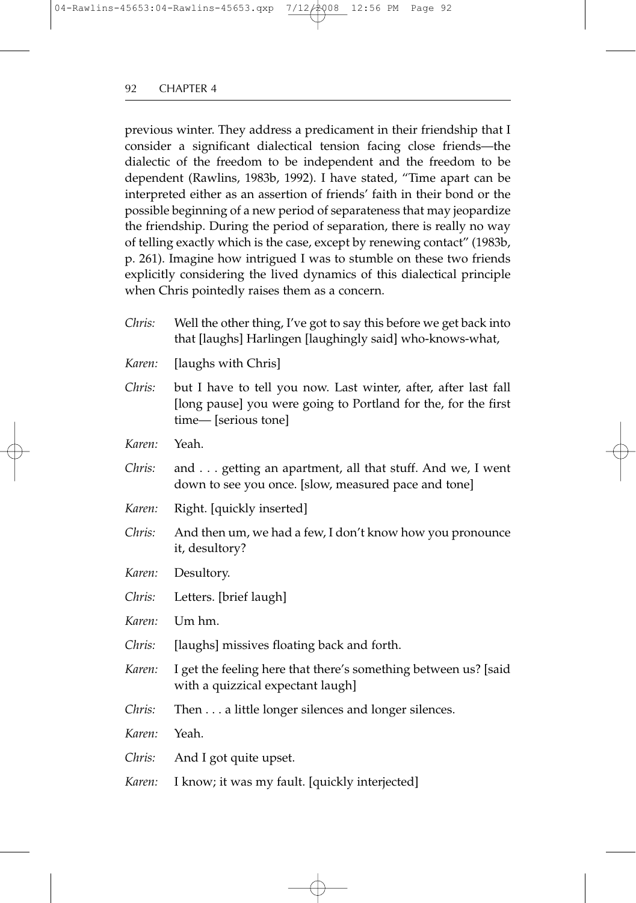previous winter. They address a predicament in their friendship that I consider a significant dialectical tension facing close friends—the dialectic of the freedom to be independent and the freedom to be dependent (Rawlins, 1983b, 1992). I have stated, "Time apart can be interpreted either as an assertion of friends' faith in their bond or the possible beginning of a new period of separateness that may jeopardize the friendship. During the period of separation, there is really no way of telling exactly which is the case, except by renewing contact" (1983b, p. 261). Imagine how intrigued I was to stumble on these two friends explicitly considering the lived dynamics of this dialectical principle when Chris pointedly raises them as a concern.

- *Chris:* Well the other thing, I've got to say this before we get back into that [laughs] Harlingen [laughingly said] who-knows-what,
- *Karen:* [laughs with Chris]
- *Chris:* but I have to tell you now. Last winter, after, after last fall [long pause] you were going to Portland for the, for the first time— [serious tone]
- *Karen:* Yeah.
- *Chris:* and . . . getting an apartment, all that stuff. And we, I went down to see you once. [slow, measured pace and tone]
- *Karen:* Right. [quickly inserted]
- *Chris:* And then um, we had a few, I don't know how you pronounce it, desultory?
- *Karen:* Desultory.
- *Chris:* Letters. [brief laugh]
- *Karen:* Um hm.
- *Chris:* [laughs] missives floating back and forth.
- *Karen:* I get the feeling here that there's something between us? [said with a quizzical expectant laugh]
- *Chris:* Then . . . a little longer silences and longer silences.
- *Karen:* Yeah.
- *Chris:* And I got quite upset.
- *Karen:* I know; it was my fault. [quickly interjected]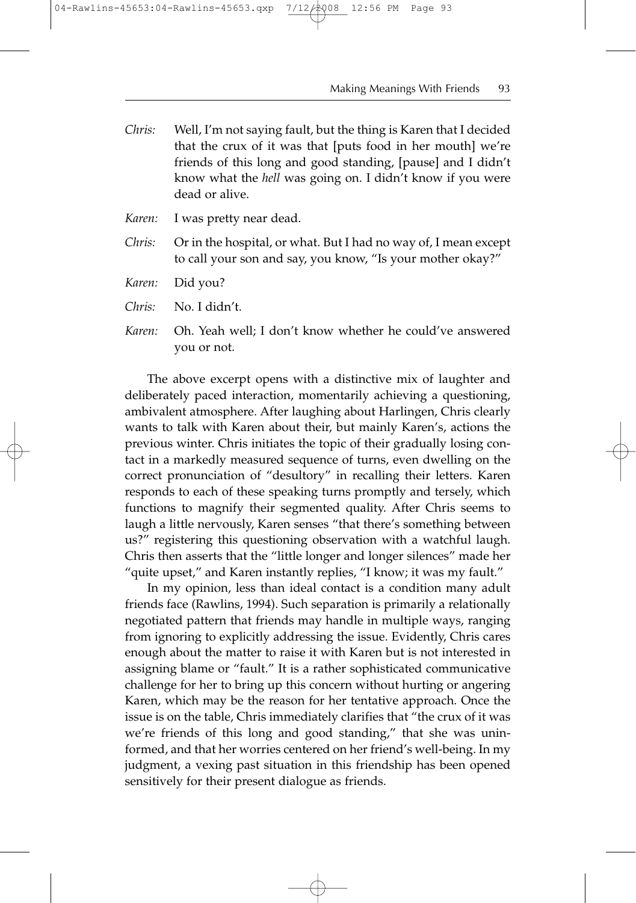- *Chris:* Well, I'm not saying fault, but the thing is Karen that I decided that the crux of it was that [puts food in her mouth] we're friends of this long and good standing, [pause] and I didn't know what the *hell* was going on. I didn't know if you were dead or alive.
- *Karen:* I was pretty near dead.
- *Chris:* Or in the hospital, or what. But I had no way of, I mean except to call your son and say, you know, "Is your mother okay?"
- *Karen:* Did you?
- *Chris:* No. I didn't.
- *Karen:* Oh. Yeah well; I don't know whether he could've answered you or not.

The above excerpt opens with a distinctive mix of laughter and deliberately paced interaction, momentarily achieving a questioning, ambivalent atmosphere. After laughing about Harlingen, Chris clearly wants to talk with Karen about their, but mainly Karen's, actions the previous winter. Chris initiates the topic of their gradually losing contact in a markedly measured sequence of turns, even dwelling on the correct pronunciation of "desultory" in recalling their letters. Karen responds to each of these speaking turns promptly and tersely, which functions to magnify their segmented quality. After Chris seems to laugh a little nervously, Karen senses "that there's something between us?" registering this questioning observation with a watchful laugh. Chris then asserts that the "little longer and longer silences" made her "quite upset," and Karen instantly replies, "I know; it was my fault."

In my opinion, less than ideal contact is a condition many adult friends face (Rawlins, 1994). Such separation is primarily a relationally negotiated pattern that friends may handle in multiple ways, ranging from ignoring to explicitly addressing the issue. Evidently, Chris cares enough about the matter to raise it with Karen but is not interested in assigning blame or "fault." It is a rather sophisticated communicative challenge for her to bring up this concern without hurting or angering Karen, which may be the reason for her tentative approach. Once the issue is on the table, Chris immediately clarifies that "the crux of it was we're friends of this long and good standing," that she was uninformed, and that her worries centered on her friend's well-being. In my judgment, a vexing past situation in this friendship has been opened sensitively for their present dialogue as friends.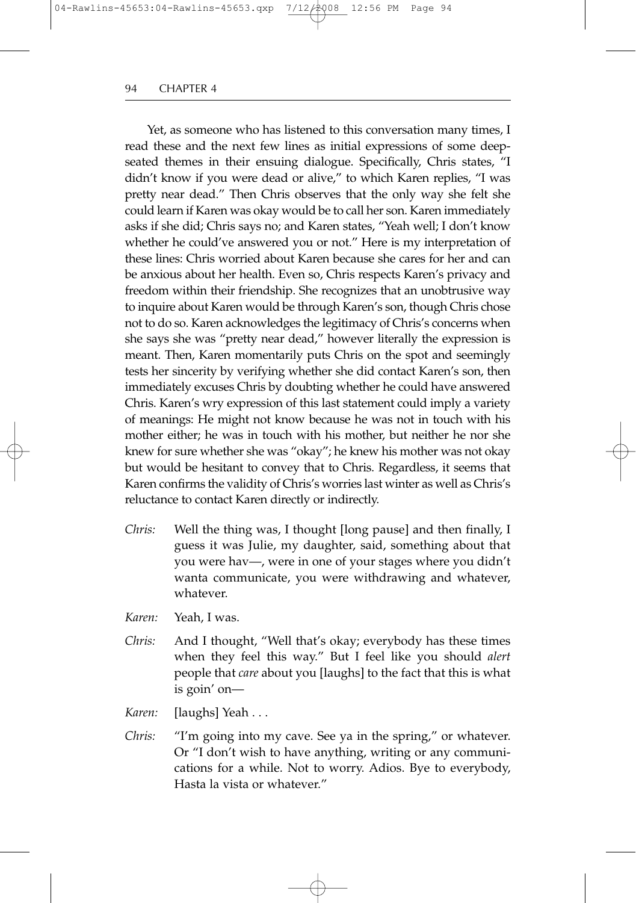#### $04 - Rawlines - 45653:04$

#### 94 CHAPTER 4

Yet, as someone who has listened to this conversation many times, I read these and the next few lines as initial expressions of some deepseated themes in their ensuing dialogue. Specifically, Chris states, "I didn't know if you were dead or alive," to which Karen replies, "I was pretty near dead." Then Chris observes that the only way she felt she could learn if Karen was okay would be to call her son. Karen immediately asks if she did; Chris says no; and Karen states, "Yeah well; I don't know whether he could've answered you or not." Here is my interpretation of these lines: Chris worried about Karen because she cares for her and can be anxious about her health. Even so, Chris respects Karen's privacy and freedom within their friendship. She recognizes that an unobtrusive way to inquire about Karen would be through Karen's son, though Chris chose not to do so. Karen acknowledges the legitimacy of Chris's concerns when she says she was "pretty near dead," however literally the expression is meant. Then, Karen momentarily puts Chris on the spot and seemingly tests her sincerity by verifying whether she did contact Karen's son, then immediately excuses Chris by doubting whether he could have answered Chris. Karen's wry expression of this last statement could imply a variety of meanings: He might not know because he was not in touch with his mother either; he was in touch with his mother, but neither he nor she knew for sure whether she was "okay"; he knew his mother was not okay but would be hesitant to convey that to Chris. Regardless, it seems that Karen confirms the validity of Chris's worries last winter as well as Chris's reluctance to contact Karen directly or indirectly.

- *Chris:* Well the thing was, I thought [long pause] and then finally, I guess it was Julie, my daughter, said, something about that you were hav—, were in one of your stages where you didn't wanta communicate, you were withdrawing and whatever, whatever.
- *Karen:* Yeah, I was.
- *Chris:* And I thought, "Well that's okay; everybody has these times when they feel this way." But I feel like you should *alert* people that *care* about you [laughs] to the fact that this is what is goin' on—
- *Karen:* [laughs] Yeah . . .
- *Chris:* "I'm going into my cave. See ya in the spring," or whatever. Or "I don't wish to have anything, writing or any communications for a while. Not to worry. Adios. Bye to everybody, Hasta la vista or whatever."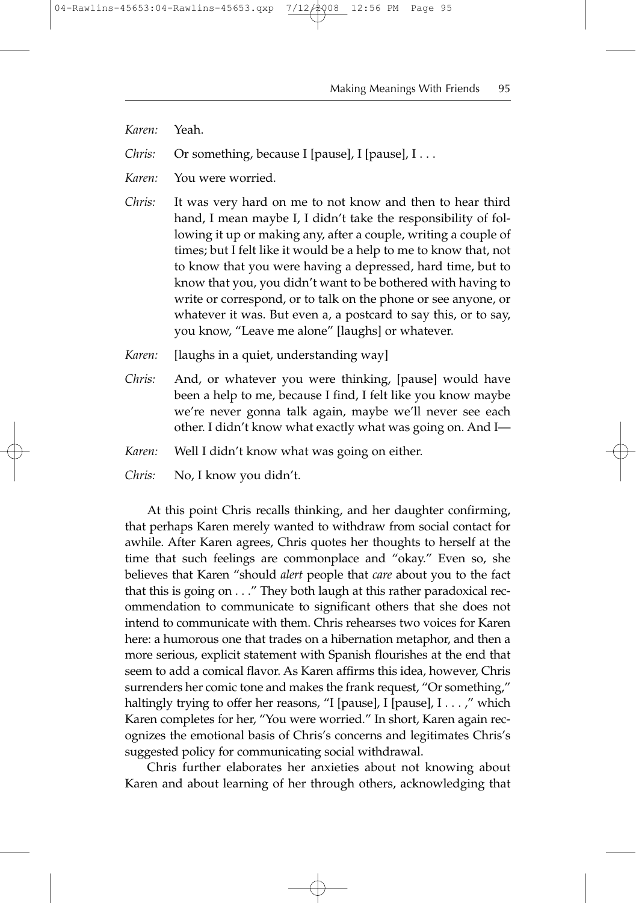- *Karen:* Yeah.
- *Chris:* Or something, because I [pause], I [pause], I . . .
- *Karen:* You were worried.
- *Chris:* It was very hard on me to not know and then to hear third hand, I mean maybe I, I didn't take the responsibility of following it up or making any, after a couple, writing a couple of times; but I felt like it would be a help to me to know that, not to know that you were having a depressed, hard time, but to know that you, you didn't want to be bothered with having to write or correspond, or to talk on the phone or see anyone, or whatever it was. But even a, a postcard to say this, or to say, you know, "Leave me alone" [laughs] or whatever.
- *Karen:* [laughs in a quiet, understanding way]
- *Chris:* And, or whatever you were thinking, [pause] would have been a help to me, because I find, I felt like you know maybe we're never gonna talk again, maybe we'll never see each other. I didn't know what exactly what was going on. And I—
- *Karen:* Well I didn't know what was going on either.
- *Chris:* No, I know you didn't.

At this point Chris recalls thinking, and her daughter confirming, that perhaps Karen merely wanted to withdraw from social contact for awhile. After Karen agrees, Chris quotes her thoughts to herself at the time that such feelings are commonplace and "okay." Even so, she believes that Karen "should *alert* people that *care* about you to the fact that this is going on . . ." They both laugh at this rather paradoxical recommendation to communicate to significant others that she does not intend to communicate with them. Chris rehearses two voices for Karen here: a humorous one that trades on a hibernation metaphor, and then a more serious, explicit statement with Spanish flourishes at the end that seem to add a comical flavor. As Karen affirms this idea, however, Chris surrenders her comic tone and makes the frank request, "Or something," haltingly trying to offer her reasons, "I [pause], I [pause],  $I \ldots$ ," which Karen completes for her, "You were worried." In short, Karen again recognizes the emotional basis of Chris's concerns and legitimates Chris's suggested policy for communicating social withdrawal.

Chris further elaborates her anxieties about not knowing about Karen and about learning of her through others, acknowledging that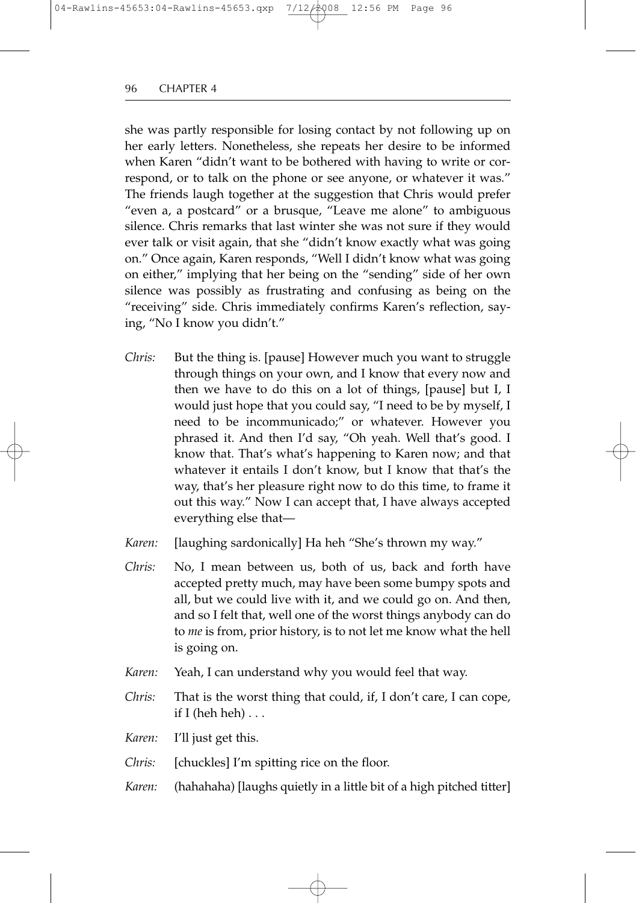she was partly responsible for losing contact by not following up on her early letters. Nonetheless, she repeats her desire to be informed when Karen "didn't want to be bothered with having to write or correspond, or to talk on the phone or see anyone, or whatever it was." The friends laugh together at the suggestion that Chris would prefer "even a, a postcard" or a brusque, "Leave me alone" to ambiguous silence. Chris remarks that last winter she was not sure if they would ever talk or visit again, that she "didn't know exactly what was going on." Once again, Karen responds, "Well I didn't know what was going on either," implying that her being on the "sending" side of her own silence was possibly as frustrating and confusing as being on the "receiving" side. Chris immediately confirms Karen's reflection, saying, "No I know you didn't."

- *Chris:* But the thing is. [pause] However much you want to struggle through things on your own, and I know that every now and then we have to do this on a lot of things, [pause] but I, I would just hope that you could say, "I need to be by myself, I need to be incommunicado;" or whatever. However you phrased it. And then I'd say, "Oh yeah. Well that's good. I know that. That's what's happening to Karen now; and that whatever it entails I don't know, but I know that that's the way, that's her pleasure right now to do this time, to frame it out this way." Now I can accept that, I have always accepted everything else that—
- *Karen:* [laughing sardonically] Ha heh "She's thrown my way."
- *Chris:* No, I mean between us, both of us, back and forth have accepted pretty much, may have been some bumpy spots and all, but we could live with it, and we could go on. And then, and so I felt that, well one of the worst things anybody can do to *me* is from, prior history, is to not let me know what the hell is going on.
- *Karen:* Yeah, I can understand why you would feel that way.
- *Chris:* That is the worst thing that could, if, I don't care, I can cope, if I (heh heh)  $\ldots$
- *Karen:* I'll just get this.
- *Chris:* [chuckles] I'm spitting rice on the floor.
- *Karen:* (hahahaha) [laughs quietly in a little bit of a high pitched titter]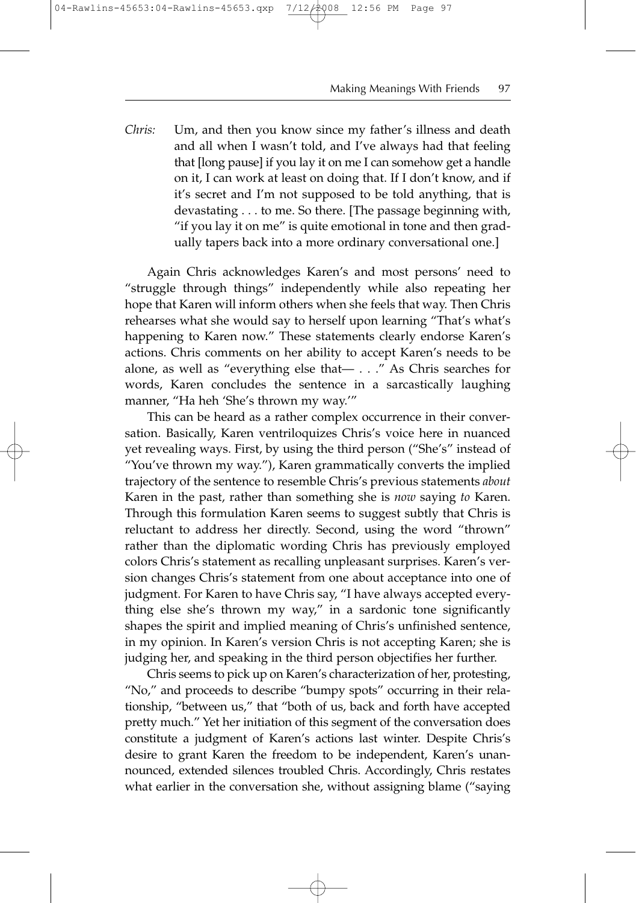*Chris:* Um, and then you know since my father's illness and death and all when I wasn't told, and I've always had that feeling that [long pause] if you lay it on me I can somehow get a handle on it, I can work at least on doing that. If I don't know, and if it's secret and I'm not supposed to be told anything, that is devastating . . . to me. So there. [The passage beginning with, "if you lay it on me" is quite emotional in tone and then gradually tapers back into a more ordinary conversational one.]

Again Chris acknowledges Karen's and most persons' need to "struggle through things" independently while also repeating her hope that Karen will inform others when she feels that way. Then Chris rehearses what she would say to herself upon learning "That's what's happening to Karen now." These statements clearly endorse Karen's actions. Chris comments on her ability to accept Karen's needs to be alone, as well as "everything else that— . . ." As Chris searches for words, Karen concludes the sentence in a sarcastically laughing manner, "Ha heh 'She's thrown my way.'"

This can be heard as a rather complex occurrence in their conversation. Basically, Karen ventriloquizes Chris's voice here in nuanced yet revealing ways. First, by using the third person ("She's" instead of "You've thrown my way."), Karen grammatically converts the implied trajectory of the sentence to resemble Chris's previous statements *about* Karen in the past, rather than something she is *now* saying *to* Karen. Through this formulation Karen seems to suggest subtly that Chris is reluctant to address her directly. Second, using the word "thrown" rather than the diplomatic wording Chris has previously employed colors Chris's statement as recalling unpleasant surprises. Karen's version changes Chris's statement from one about acceptance into one of judgment. For Karen to have Chris say, "I have always accepted everything else she's thrown my way," in a sardonic tone significantly shapes the spirit and implied meaning of Chris's unfinished sentence, in my opinion. In Karen's version Chris is not accepting Karen; she is judging her, and speaking in the third person objectifies her further.

Chris seems to pick up on Karen's characterization of her, protesting, "No," and proceeds to describe "bumpy spots" occurring in their relationship, "between us," that "both of us, back and forth have accepted pretty much." Yet her initiation of this segment of the conversation does constitute a judgment of Karen's actions last winter. Despite Chris's desire to grant Karen the freedom to be independent, Karen's unannounced, extended silences troubled Chris. Accordingly, Chris restates what earlier in the conversation she, without assigning blame ("saying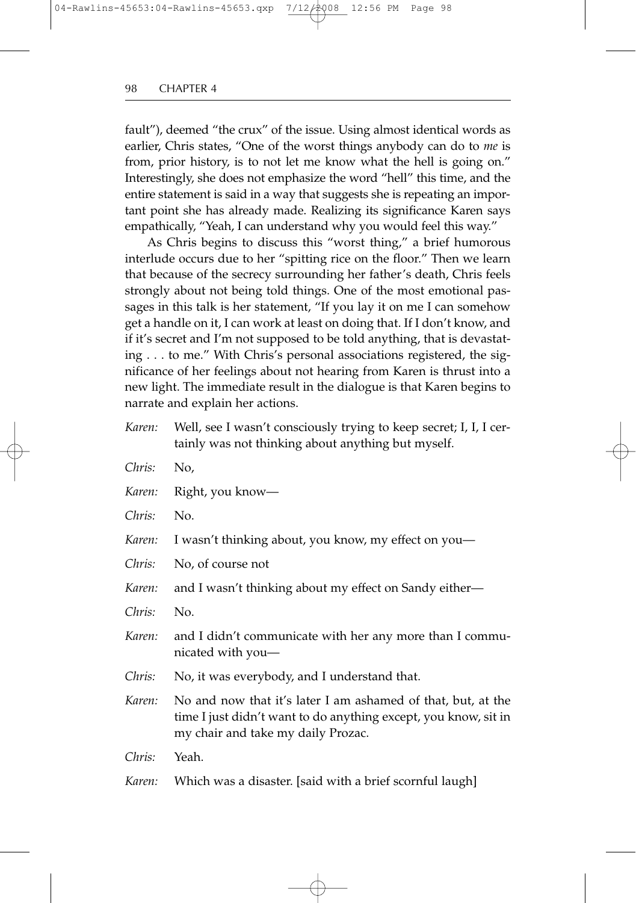fault"), deemed "the crux" of the issue. Using almost identical words as earlier, Chris states, "One of the worst things anybody can do to *me* is from, prior history, is to not let me know what the hell is going on." Interestingly, she does not emphasize the word "hell" this time, and the entire statement is said in a way that suggests she is repeating an important point she has already made. Realizing its significance Karen says empathically, "Yeah, I can understand why you would feel this way."

As Chris begins to discuss this "worst thing," a brief humorous interlude occurs due to her "spitting rice on the floor." Then we learn that because of the secrecy surrounding her father's death, Chris feels strongly about not being told things. One of the most emotional passages in this talk is her statement, "If you lay it on me I can somehow get a handle on it, I can work at least on doing that. If I don't know, and if it's secret and I'm not supposed to be told anything, that is devastating . . . to me." With Chris's personal associations registered, the significance of her feelings about not hearing from Karen is thrust into a new light. The immediate result in the dialogue is that Karen begins to narrate and explain her actions.

- *Karen:* Well, see I wasn't consciously trying to keep secret; I, I, I certainly was not thinking about anything but myself.
- *Chris:* No,
- *Karen:* Right, you know—
- *Chris:* No.
- *Karen:* I wasn't thinking about, you know, my effect on you—
- *Chris:* No, of course not
- *Karen:* and I wasn't thinking about my effect on Sandy either—
- *Chris:* No.
- *Karen:* and I didn't communicate with her any more than I communicated with you—
- *Chris:* No, it was everybody, and I understand that.
- *Karen:* No and now that it's later I am ashamed of that, but, at the time I just didn't want to do anything except, you know, sit in my chair and take my daily Prozac.
- *Chris:* Yeah.
- *Karen:* Which was a disaster. [said with a brief scornful laugh]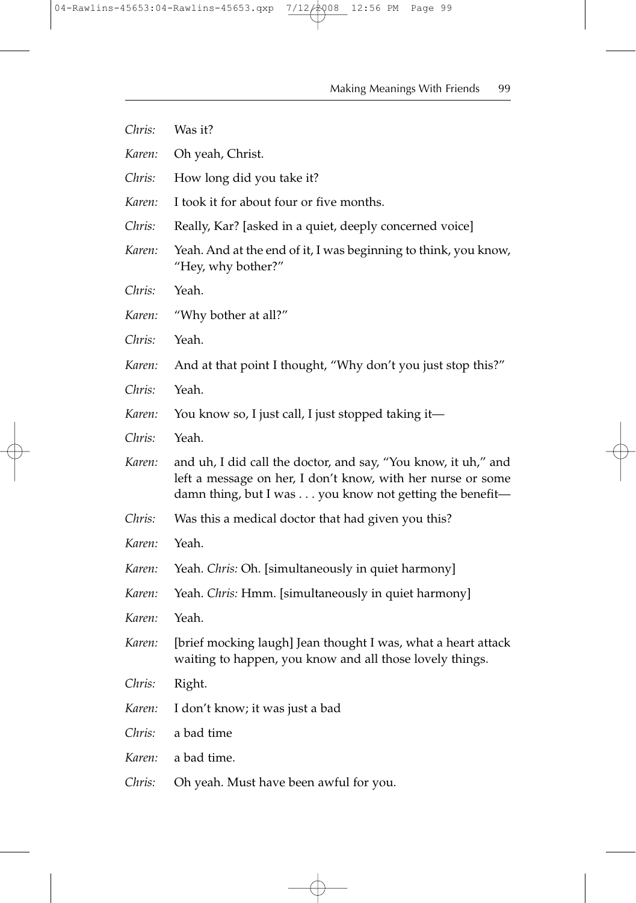Making Meanings With Friends 99

| Chris: | Was it?                                                                                                                                                                                  |
|--------|------------------------------------------------------------------------------------------------------------------------------------------------------------------------------------------|
| Karen: | Oh yeah, Christ.                                                                                                                                                                         |
| Chris: | How long did you take it?                                                                                                                                                                |
| Karen: | I took it for about four or five months.                                                                                                                                                 |
| Chris: | Really, Kar? [asked in a quiet, deeply concerned voice]                                                                                                                                  |
| Karen: | Yeah. And at the end of it, I was beginning to think, you know,<br>"Hey, why bother?"                                                                                                    |
| Chris: | Yeah.                                                                                                                                                                                    |
| Karen: | "Why bother at all?"                                                                                                                                                                     |
| Chris: | Yeah.                                                                                                                                                                                    |
| Karen: | And at that point I thought, "Why don't you just stop this?"                                                                                                                             |
| Chris: | Yeah.                                                                                                                                                                                    |
| Karen: | You know so, I just call, I just stopped taking it-                                                                                                                                      |
| Chris: | Yeah.                                                                                                                                                                                    |
| Karen: | and uh, I did call the doctor, and say, "You know, it uh," and<br>left a message on her, I don't know, with her nurse or some<br>damn thing, but I was you know not getting the benefit- |
| Chris: | Was this a medical doctor that had given you this?                                                                                                                                       |
| Karen: | Yeah.                                                                                                                                                                                    |
| Karen: | Yeah. Chris: Oh. [simultaneously in quiet harmony]                                                                                                                                       |
| Karen: | Yeah. Chris: Hmm. [simultaneously in quiet harmony]                                                                                                                                      |
| Karen: | Yeah.                                                                                                                                                                                    |
| Karen: | [brief mocking laugh] Jean thought I was, what a heart attack<br>waiting to happen, you know and all those lovely things.                                                                |
| Chris: | Right.                                                                                                                                                                                   |
| Karen: | I don't know; it was just a bad                                                                                                                                                          |
| Chris: | a bad time                                                                                                                                                                               |
| Karen: | a bad time.                                                                                                                                                                              |
| Chris: | Oh yeah. Must have been awful for you.                                                                                                                                                   |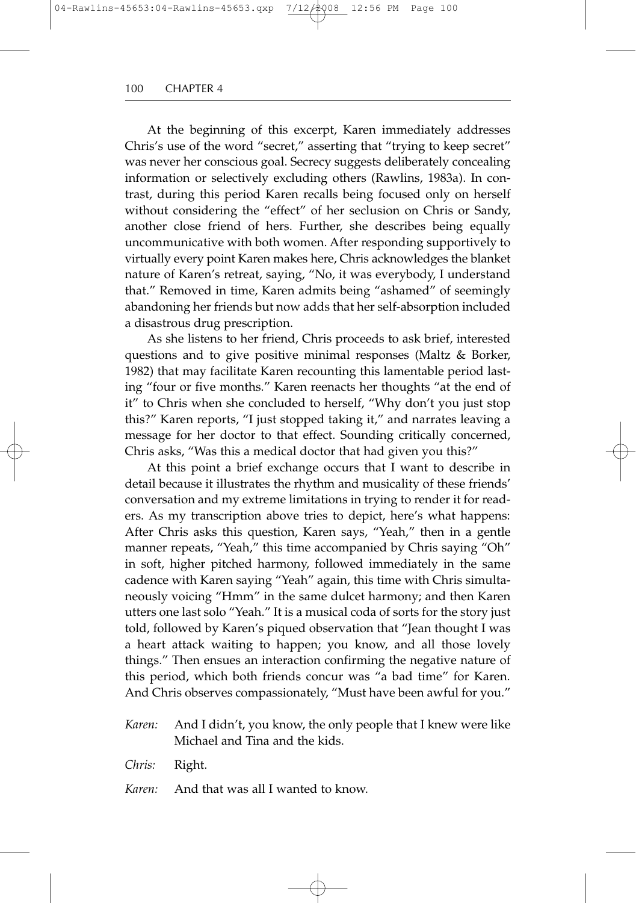At the beginning of this excerpt, Karen immediately addresses Chris's use of the word "secret," asserting that "trying to keep secret" was never her conscious goal. Secrecy suggests deliberately concealing information or selectively excluding others (Rawlins, 1983a). In contrast, during this period Karen recalls being focused only on herself without considering the "effect" of her seclusion on Chris or Sandy, another close friend of hers. Further, she describes being equally uncommunicative with both women. After responding supportively to virtually every point Karen makes here, Chris acknowledges the blanket nature of Karen's retreat, saying, "No, it was everybody, I understand that." Removed in time, Karen admits being "ashamed" of seemingly abandoning her friends but now adds that her self-absorption included a disastrous drug prescription.

As she listens to her friend, Chris proceeds to ask brief, interested questions and to give positive minimal responses (Maltz & Borker, 1982) that may facilitate Karen recounting this lamentable period lasting "four or five months." Karen reenacts her thoughts "at the end of it" to Chris when she concluded to herself, "Why don't you just stop this?" Karen reports, "I just stopped taking it," and narrates leaving a message for her doctor to that effect. Sounding critically concerned, Chris asks, "Was this a medical doctor that had given you this?"

At this point a brief exchange occurs that I want to describe in detail because it illustrates the rhythm and musicality of these friends' conversation and my extreme limitations in trying to render it for readers. As my transcription above tries to depict, here's what happens: After Chris asks this question, Karen says, "Yeah," then in a gentle manner repeats, "Yeah," this time accompanied by Chris saying "Oh" in soft, higher pitched harmony, followed immediately in the same cadence with Karen saying "Yeah" again, this time with Chris simultaneously voicing "Hmm" in the same dulcet harmony; and then Karen utters one last solo "Yeah." It is a musical coda of sorts for the story just told, followed by Karen's piqued observation that "Jean thought I was a heart attack waiting to happen; you know, and all those lovely things." Then ensues an interaction confirming the negative nature of this period, which both friends concur was "a bad time" for Karen. And Chris observes compassionately, "Must have been awful for you."

- *Karen:* And I didn't, you know, the only people that I knew were like Michael and Tina and the kids.
- *Chris:* Right.
- *Karen:* And that was all I wanted to know.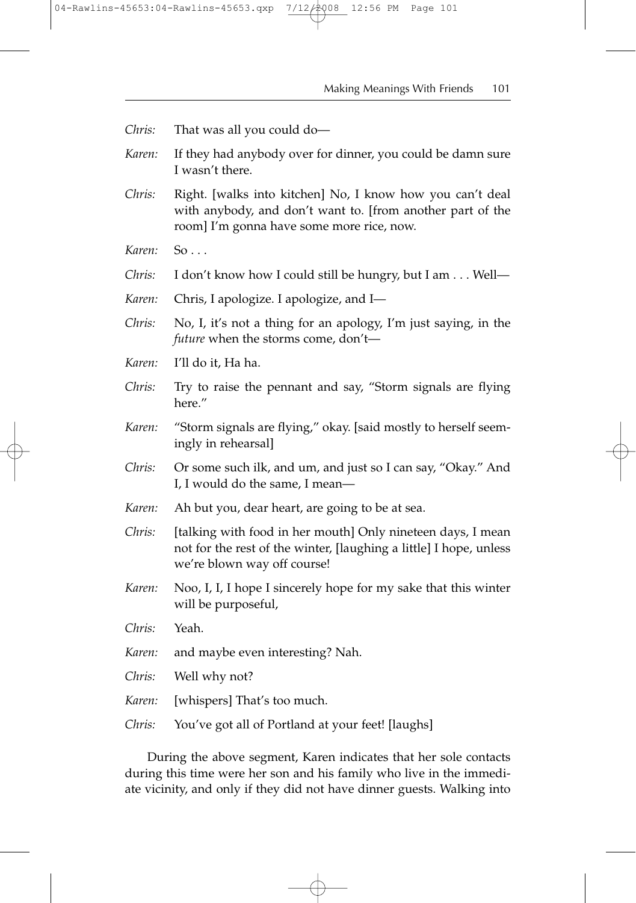- *Chris:* That was all you could do—
- *Karen:* If they had anybody over for dinner, you could be damn sure I wasn't there.
- *Chris:* Right. [walks into kitchen] No, I know how you can't deal with anybody, and don't want to. [from another part of the room] I'm gonna have some more rice, now.
- *Karen:* So . . .
- *Chris:* I don't know how I could still be hungry, but I am . . . Well—
- *Karen:* Chris, I apologize. I apologize, and I—
- *Chris:* No, I, it's not a thing for an apology, I'm just saying, in the *future* when the storms come, don't—
- *Karen:* I'll do it, Ha ha.
- *Chris:* Try to raise the pennant and say, "Storm signals are flying here."
- *Karen:* "Storm signals are flying," okay. [said mostly to herself seemingly in rehearsal]
- *Chris:* Or some such ilk, and um, and just so I can say, "Okay." And I, I would do the same, I mean—
- *Karen:* Ah but you, dear heart, are going to be at sea.
- *Chris:* [talking with food in her mouth] Only nineteen days, I mean not for the rest of the winter, [laughing a little] I hope, unless we're blown way off course!
- *Karen:* Noo, I, I, I hope I sincerely hope for my sake that this winter will be purposeful,
- *Chris:* Yeah.
- *Karen:* and maybe even interesting? Nah.
- *Chris:* Well why not?
- *Karen:* [whispers] That's too much.
- *Chris:* You've got all of Portland at your feet! [laughs]

During the above segment, Karen indicates that her sole contacts during this time were her son and his family who live in the immediate vicinity, and only if they did not have dinner guests. Walking into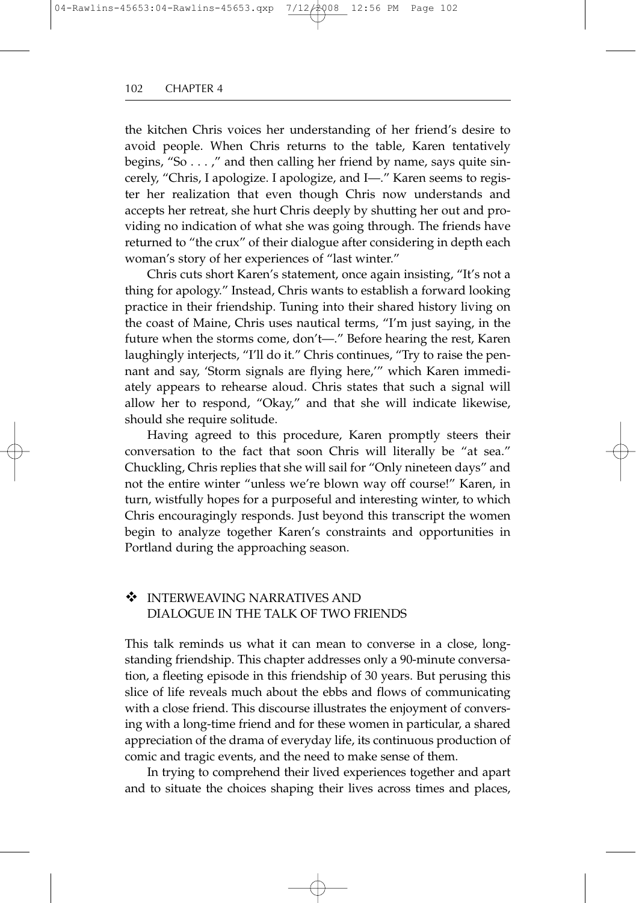the kitchen Chris voices her understanding of her friend's desire to avoid people. When Chris returns to the table, Karen tentatively begins, "So  $\dots$ ," and then calling her friend by name, says quite sincerely, "Chris, I apologize. I apologize, and I—." Karen seems to register her realization that even though Chris now understands and accepts her retreat, she hurt Chris deeply by shutting her out and providing no indication of what she was going through. The friends have returned to "the crux" of their dialogue after considering in depth each woman's story of her experiences of "last winter."

Chris cuts short Karen's statement, once again insisting, "It's not a thing for apology." Instead, Chris wants to establish a forward looking practice in their friendship. Tuning into their shared history living on the coast of Maine, Chris uses nautical terms, "I'm just saying, in the future when the storms come, don't—." Before hearing the rest, Karen laughingly interjects, "I'll do it." Chris continues, "Try to raise the pennant and say, 'Storm signals are flying here,'" which Karen immediately appears to rehearse aloud. Chris states that such a signal will allow her to respond, "Okay," and that she will indicate likewise, should she require solitude.

Having agreed to this procedure, Karen promptly steers their conversation to the fact that soon Chris will literally be "at sea." Chuckling, Chris replies that she will sail for "Only nineteen days" and not the entire winter "unless we're blown way off course!" Karen, in turn, wistfully hopes for a purposeful and interesting winter, to which Chris encouragingly responds. Just beyond this transcript the women begin to analyze together Karen's constraints and opportunities in Portland during the approaching season.

### - INTERWEAVING NARRATIVES AND DIALOGUE IN THE TALK OF TWO FRIENDS

This talk reminds us what it can mean to converse in a close, longstanding friendship. This chapter addresses only a 90-minute conversation, a fleeting episode in this friendship of 30 years. But perusing this slice of life reveals much about the ebbs and flows of communicating with a close friend. This discourse illustrates the enjoyment of conversing with a long-time friend and for these women in particular, a shared appreciation of the drama of everyday life, its continuous production of comic and tragic events, and the need to make sense of them.

In trying to comprehend their lived experiences together and apart and to situate the choices shaping their lives across times and places,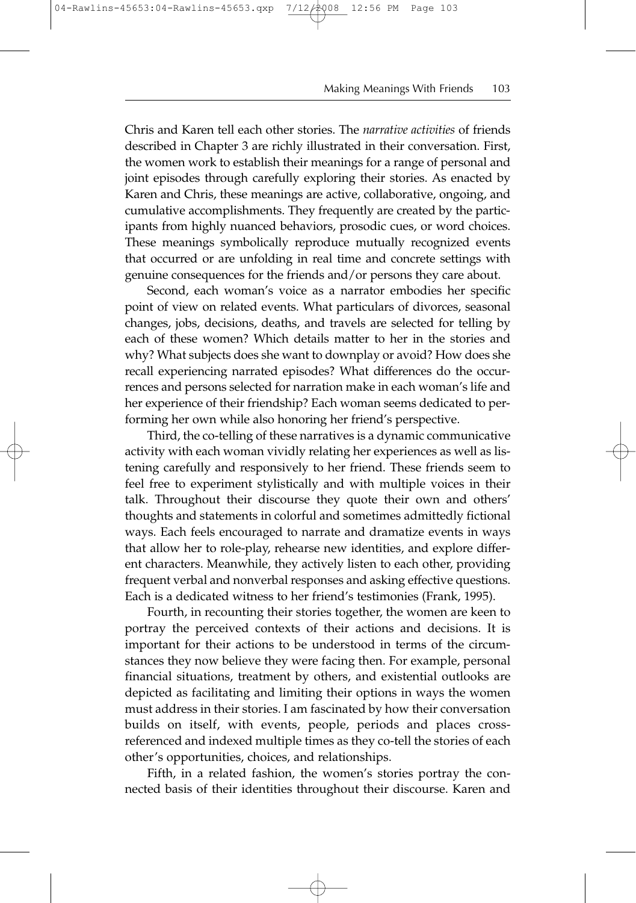Chris and Karen tell each other stories. The *narrative activities* of friends described in Chapter 3 are richly illustrated in their conversation. First, the women work to establish their meanings for a range of personal and joint episodes through carefully exploring their stories. As enacted by Karen and Chris, these meanings are active, collaborative, ongoing, and cumulative accomplishments. They frequently are created by the participants from highly nuanced behaviors, prosodic cues, or word choices. These meanings symbolically reproduce mutually recognized events that occurred or are unfolding in real time and concrete settings with genuine consequences for the friends and/or persons they care about.

Second, each woman's voice as a narrator embodies her specific point of view on related events. What particulars of divorces, seasonal changes, jobs, decisions, deaths, and travels are selected for telling by each of these women? Which details matter to her in the stories and why? What subjects does she want to downplay or avoid? How does she recall experiencing narrated episodes? What differences do the occurrences and persons selected for narration make in each woman's life and her experience of their friendship? Each woman seems dedicated to performing her own while also honoring her friend's perspective.

Third, the co-telling of these narratives is a dynamic communicative activity with each woman vividly relating her experiences as well as listening carefully and responsively to her friend. These friends seem to feel free to experiment stylistically and with multiple voices in their talk. Throughout their discourse they quote their own and others' thoughts and statements in colorful and sometimes admittedly fictional ways. Each feels encouraged to narrate and dramatize events in ways that allow her to role-play, rehearse new identities, and explore different characters. Meanwhile, they actively listen to each other, providing frequent verbal and nonverbal responses and asking effective questions. Each is a dedicated witness to her friend's testimonies (Frank, 1995).

Fourth, in recounting their stories together, the women are keen to portray the perceived contexts of their actions and decisions. It is important for their actions to be understood in terms of the circumstances they now believe they were facing then. For example, personal financial situations, treatment by others, and existential outlooks are depicted as facilitating and limiting their options in ways the women must address in their stories. I am fascinated by how their conversation builds on itself, with events, people, periods and places crossreferenced and indexed multiple times as they co-tell the stories of each other's opportunities, choices, and relationships.

Fifth, in a related fashion, the women's stories portray the connected basis of their identities throughout their discourse. Karen and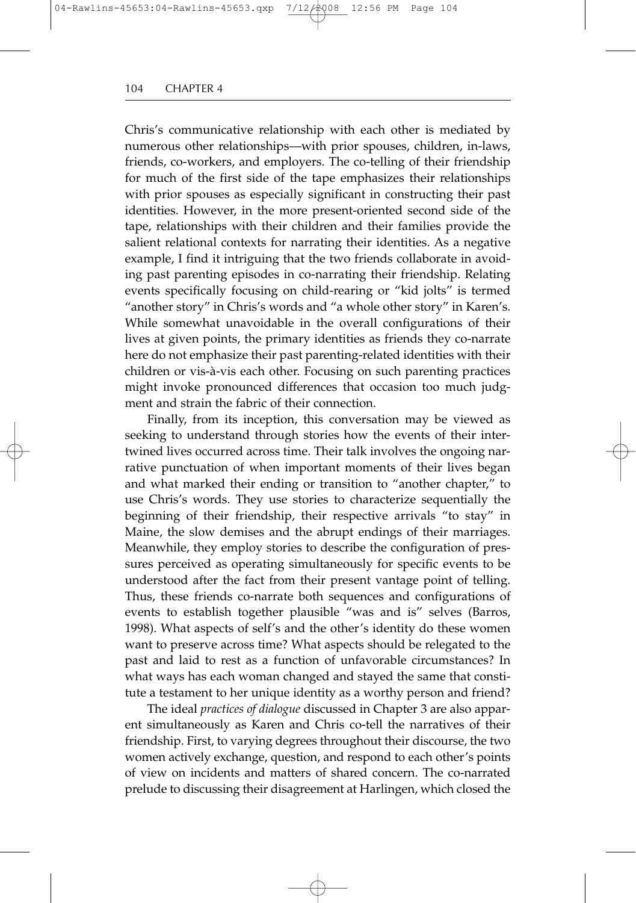Chris's communicative relationship with each other is mediated by numerous other relationships—with prior spouses, children, in-laws, friends, co-workers, and employers. The co-telling of their friendship for much of the first side of the tape emphasizes their relationships with prior spouses as especially significant in constructing their past identities. However, in the more present-oriented second side of the tape, relationships with their children and their families provide the salient relational contexts for narrating their identities. As a negative example, I find it intriguing that the two friends collaborate in avoiding past parenting episodes in co-narrating their friendship. Relating events specifically focusing on child-rearing or "kid jolts" is termed "another story" in Chris's words and "a whole other story" in Karen's. While somewhat unavoidable in the overall configurations of their lives at given points, the primary identities as friends they co-narrate here do not emphasize their past parenting-related identities with their children or vis-à-vis each other. Focusing on such parenting practices might invoke pronounced differences that occasion too much judgment and strain the fabric of their connection.

Finally, from its inception, this conversation may be viewed as seeking to understand through stories how the events of their intertwined lives occurred across time. Their talk involves the ongoing narrative punctuation of when important moments of their lives began and what marked their ending or transition to "another chapter," to use Chris's words. They use stories to characterize sequentially the beginning of their friendship, their respective arrivals "to stay" in Maine, the slow demises and the abrupt endings of their marriages. Meanwhile, they employ stories to describe the configuration of pressures perceived as operating simultaneously for specific events to be understood after the fact from their present vantage point of telling. Thus, these friends co-narrate both sequences and configurations of events to establish together plausible "was and is" selves (Barros, 1998). What aspects of self's and the other's identity do these women want to preserve across time? What aspects should be relegated to the past and laid to rest as a function of unfavorable circumstances? In what ways has each woman changed and stayed the same that constitute a testament to her unique identity as a worthy person and friend?

The ideal *practices of dialogue* discussed in Chapter 3 are also apparent simultaneously as Karen and Chris co-tell the narratives of their friendship. First, to varying degrees throughout their discourse, the two women actively exchange, question, and respond to each other's points of view on incidents and matters of shared concern. The co-narrated prelude to discussing their disagreement at Harlingen, which closed the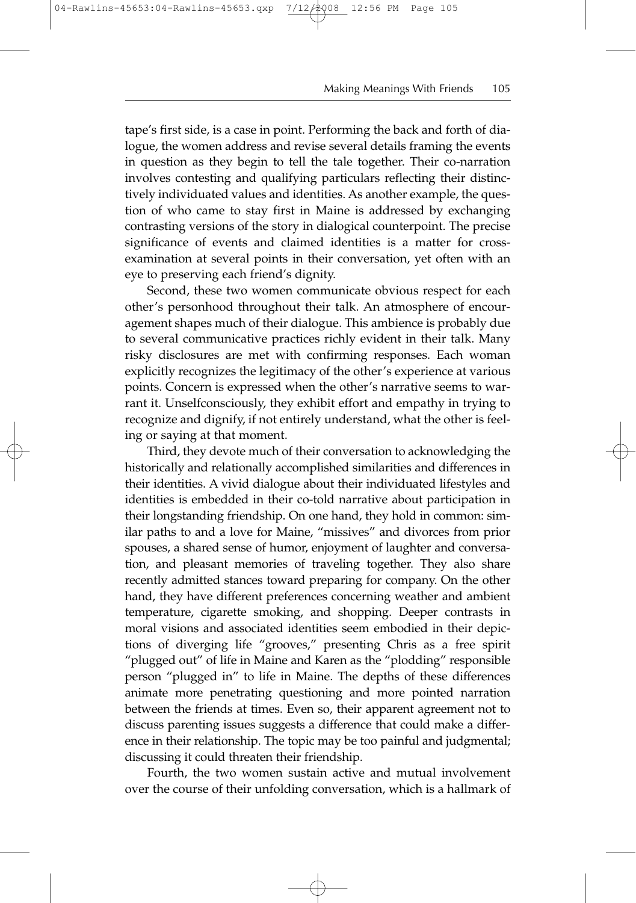04-Rawlins-45653:04-Rawlins-45653.qxp 7/12/2008 12:56 PM Page 105

tape's first side, is a case in point. Performing the back and forth of dialogue, the women address and revise several details framing the events in question as they begin to tell the tale together. Their co-narration involves contesting and qualifying particulars reflecting their distinctively individuated values and identities. As another example, the question of who came to stay first in Maine is addressed by exchanging contrasting versions of the story in dialogical counterpoint. The precise significance of events and claimed identities is a matter for crossexamination at several points in their conversation, yet often with an eye to preserving each friend's dignity.

Second, these two women communicate obvious respect for each other's personhood throughout their talk. An atmosphere of encouragement shapes much of their dialogue. This ambience is probably due to several communicative practices richly evident in their talk. Many risky disclosures are met with confirming responses. Each woman explicitly recognizes the legitimacy of the other's experience at various points. Concern is expressed when the other's narrative seems to warrant it. Unselfconsciously, they exhibit effort and empathy in trying to recognize and dignify, if not entirely understand, what the other is feeling or saying at that moment.

Third, they devote much of their conversation to acknowledging the historically and relationally accomplished similarities and differences in their identities. A vivid dialogue about their individuated lifestyles and identities is embedded in their co-told narrative about participation in their longstanding friendship. On one hand, they hold in common: similar paths to and a love for Maine, "missives" and divorces from prior spouses, a shared sense of humor, enjoyment of laughter and conversation, and pleasant memories of traveling together. They also share recently admitted stances toward preparing for company. On the other hand, they have different preferences concerning weather and ambient temperature, cigarette smoking, and shopping. Deeper contrasts in moral visions and associated identities seem embodied in their depictions of diverging life "grooves," presenting Chris as a free spirit "plugged out" of life in Maine and Karen as the "plodding" responsible person "plugged in" to life in Maine. The depths of these differences animate more penetrating questioning and more pointed narration between the friends at times. Even so, their apparent agreement not to discuss parenting issues suggests a difference that could make a difference in their relationship. The topic may be too painful and judgmental; discussing it could threaten their friendship.

Fourth, the two women sustain active and mutual involvement over the course of their unfolding conversation, which is a hallmark of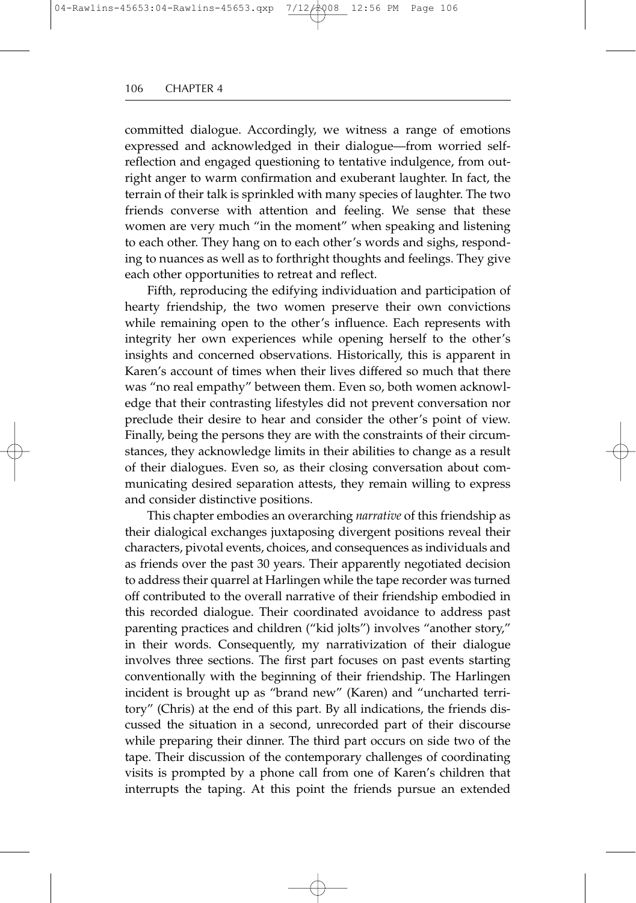committed dialogue. Accordingly, we witness a range of emotions expressed and acknowledged in their dialogue—from worried selfreflection and engaged questioning to tentative indulgence, from outright anger to warm confirmation and exuberant laughter. In fact, the terrain of their talk is sprinkled with many species of laughter. The two friends converse with attention and feeling. We sense that these women are very much "in the moment" when speaking and listening to each other. They hang on to each other's words and sighs, responding to nuances as well as to forthright thoughts and feelings. They give each other opportunities to retreat and reflect.

Fifth, reproducing the edifying individuation and participation of hearty friendship, the two women preserve their own convictions while remaining open to the other's influence. Each represents with integrity her own experiences while opening herself to the other's insights and concerned observations. Historically, this is apparent in Karen's account of times when their lives differed so much that there was "no real empathy" between them. Even so, both women acknowledge that their contrasting lifestyles did not prevent conversation nor preclude their desire to hear and consider the other's point of view. Finally, being the persons they are with the constraints of their circumstances, they acknowledge limits in their abilities to change as a result of their dialogues. Even so, as their closing conversation about communicating desired separation attests, they remain willing to express and consider distinctive positions.

This chapter embodies an overarching *narrative* of this friendship as their dialogical exchanges juxtaposing divergent positions reveal their characters, pivotal events, choices, and consequences as individuals and as friends over the past 30 years. Their apparently negotiated decision to address their quarrel at Harlingen while the tape recorder was turned off contributed to the overall narrative of their friendship embodied in this recorded dialogue. Their coordinated avoidance to address past parenting practices and children ("kid jolts") involves "another story," in their words. Consequently, my narrativization of their dialogue involves three sections. The first part focuses on past events starting conventionally with the beginning of their friendship. The Harlingen incident is brought up as "brand new" (Karen) and "uncharted territory" (Chris) at the end of this part. By all indications, the friends discussed the situation in a second, unrecorded part of their discourse while preparing their dinner. The third part occurs on side two of the tape. Their discussion of the contemporary challenges of coordinating visits is prompted by a phone call from one of Karen's children that interrupts the taping. At this point the friends pursue an extended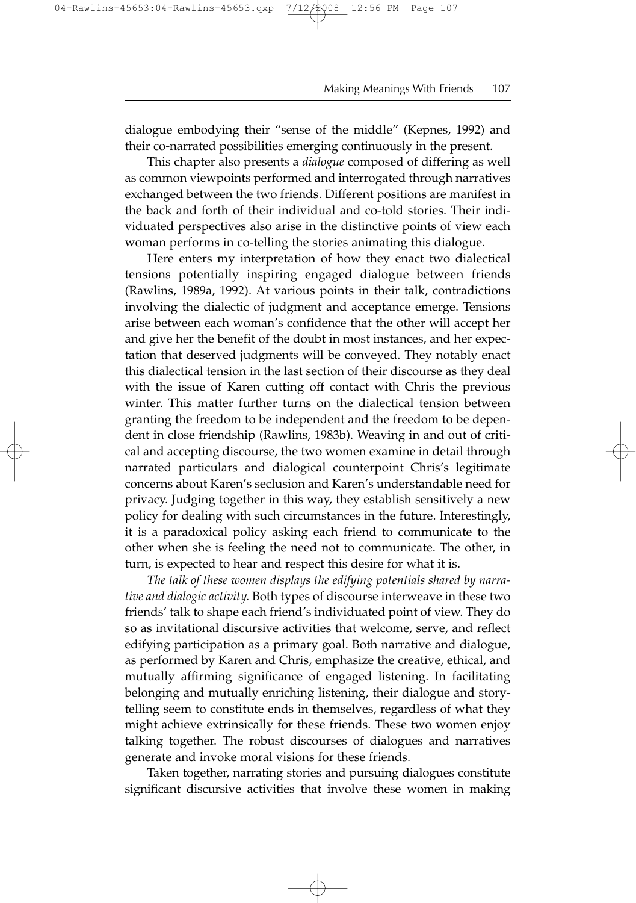dialogue embodying their "sense of the middle" (Kepnes, 1992) and their co-narrated possibilities emerging continuously in the present.

This chapter also presents a *dialogue* composed of differing as well as common viewpoints performed and interrogated through narratives exchanged between the two friends. Different positions are manifest in the back and forth of their individual and co-told stories. Their individuated perspectives also arise in the distinctive points of view each woman performs in co-telling the stories animating this dialogue.

Here enters my interpretation of how they enact two dialectical tensions potentially inspiring engaged dialogue between friends (Rawlins, 1989a, 1992). At various points in their talk, contradictions involving the dialectic of judgment and acceptance emerge. Tensions arise between each woman's confidence that the other will accept her and give her the benefit of the doubt in most instances, and her expectation that deserved judgments will be conveyed. They notably enact this dialectical tension in the last section of their discourse as they deal with the issue of Karen cutting off contact with Chris the previous winter. This matter further turns on the dialectical tension between granting the freedom to be independent and the freedom to be dependent in close friendship (Rawlins, 1983b). Weaving in and out of critical and accepting discourse, the two women examine in detail through narrated particulars and dialogical counterpoint Chris's legitimate concerns about Karen's seclusion and Karen's understandable need for privacy. Judging together in this way, they establish sensitively a new policy for dealing with such circumstances in the future. Interestingly, it is a paradoxical policy asking each friend to communicate to the other when she is feeling the need not to communicate. The other, in turn, is expected to hear and respect this desire for what it is.

*The talk of these women displays the edifying potentials shared by narrative and dialogic activity.* Both types of discourse interweave in these two friends' talk to shape each friend's individuated point of view. They do so as invitational discursive activities that welcome, serve, and reflect edifying participation as a primary goal. Both narrative and dialogue, as performed by Karen and Chris, emphasize the creative, ethical, and mutually affirming significance of engaged listening. In facilitating belonging and mutually enriching listening, their dialogue and storytelling seem to constitute ends in themselves, regardless of what they might achieve extrinsically for these friends. These two women enjoy talking together. The robust discourses of dialogues and narratives generate and invoke moral visions for these friends.

Taken together, narrating stories and pursuing dialogues constitute significant discursive activities that involve these women in making